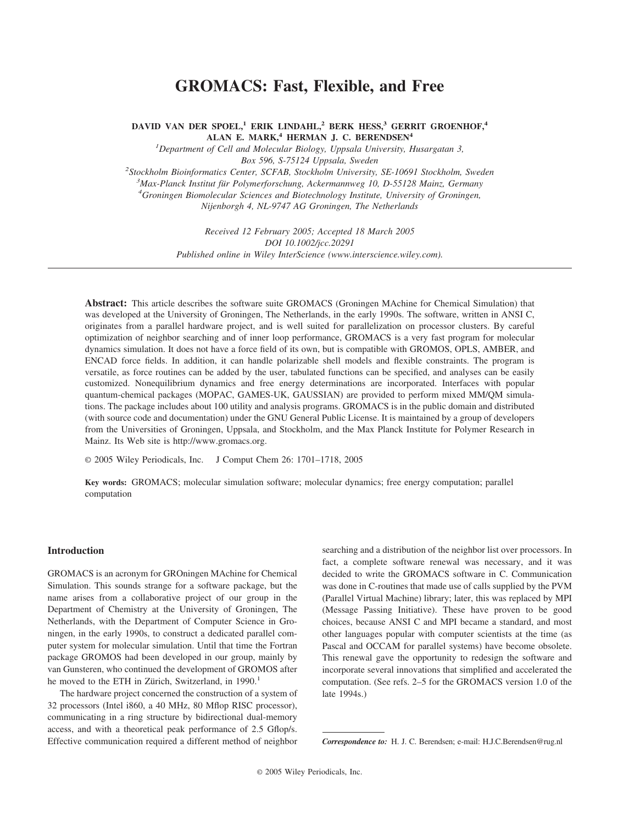# **GROMACS: Fast, Flexible, and Free**

## **DAVID VAN DER SPOEL,1 ERIK LINDAHL,2 BERK HESS,3 GERRIT GROENHOF,4 ALAN E. MARK,4 HERMAN J. C. BERENDSEN4**

*1 Department of Cell and Molecular Biology, Uppsala University, Husargatan 3, Box 596, S-75124 Uppsala, Sweden <sup>2</sup> Stockholm Bioinformatics Center, SCFAB, Stockholm University, SE-10691 Stockholm, Sweden*

<sup>3</sup> Max-Planck Institut für Polymerforschung, Ackermannweg 10, D-55128 Mainz, Germany<br><sup>4</sup> Groningen Biomolecular Sciences and Biotechnology Institute, University of Groningen *Groningen Biomolecular Sciences and Biotechnology Institute, University of Groningen, Nijenborgh 4, NL-9747 AG Groningen, The Netherlands*

> *Received 12 February 2005; Accepted 18 March 2005 DOI 10.1002/jcc.20291 Published online in Wiley InterScience (www.interscience.wiley.com).*

**Abstract:** This article describes the software suite GROMACS (Groningen MAchine for Chemical Simulation) that was developed at the University of Groningen, The Netherlands, in the early 1990s. The software, written in ANSI C, originates from a parallel hardware project, and is well suited for parallelization on processor clusters. By careful optimization of neighbor searching and of inner loop performance, GROMACS is a very fast program for molecular dynamics simulation. It does not have a force field of its own, but is compatible with GROMOS, OPLS, AMBER, and ENCAD force fields. In addition, it can handle polarizable shell models and flexible constraints. The program is versatile, as force routines can be added by the user, tabulated functions can be specified, and analyses can be easily customized. Nonequilibrium dynamics and free energy determinations are incorporated. Interfaces with popular quantum-chemical packages (MOPAC, GAMES-UK, GAUSSIAN) are provided to perform mixed MM/QM simulations. The package includes about 100 utility and analysis programs. GROMACS is in the public domain and distributed (with source code and documentation) under the GNU General Public License. It is maintained by a group of developers from the Universities of Groningen, Uppsala, and Stockholm, and the Max Planck Institute for Polymer Research in Mainz. Its Web site is http://www.gromacs.org.

© 2005 Wiley Periodicals, Inc. J Comput Chem 26: 1701–1718, 2005

**Key words:** GROMACS; molecular simulation software; molecular dynamics; free energy computation; parallel computation

## **Introduction**

GROMACS is an acronym for GROningen MAchine for Chemical Simulation. This sounds strange for a software package, but the name arises from a collaborative project of our group in the Department of Chemistry at the University of Groningen, The Netherlands, with the Department of Computer Science in Groningen, in the early 1990s, to construct a dedicated parallel computer system for molecular simulation. Until that time the Fortran package GROMOS had been developed in our group, mainly by van Gunsteren, who continued the development of GROMOS after he moved to the ETH in Zürich, Switzerland, in 1990.<sup>1</sup>

The hardware project concerned the construction of a system of 32 processors (Intel i860, a 40 MHz, 80 Mflop RISC processor), communicating in a ring structure by bidirectional dual-memory access, and with a theoretical peak performance of 2.5 Gflop/s. Effective communication required a different method of neighbor searching and a distribution of the neighbor list over processors. In fact, a complete software renewal was necessary, and it was decided to write the GROMACS software in C. Communication was done in C-routines that made use of calls supplied by the PVM (Parallel Virtual Machine) library; later, this was replaced by MPI (Message Passing Initiative). These have proven to be good choices, because ANSI C and MPI became a standard, and most other languages popular with computer scientists at the time (as Pascal and OCCAM for parallel systems) have become obsolete. This renewal gave the opportunity to redesign the software and incorporate several innovations that simplified and accelerated the computation. (See refs. 2–5 for the GROMACS version 1.0 of the late 1994s.)

*Correspondence to:* H. J. C. Berendsen; e-mail: H.J.C.Berendsen@rug.nl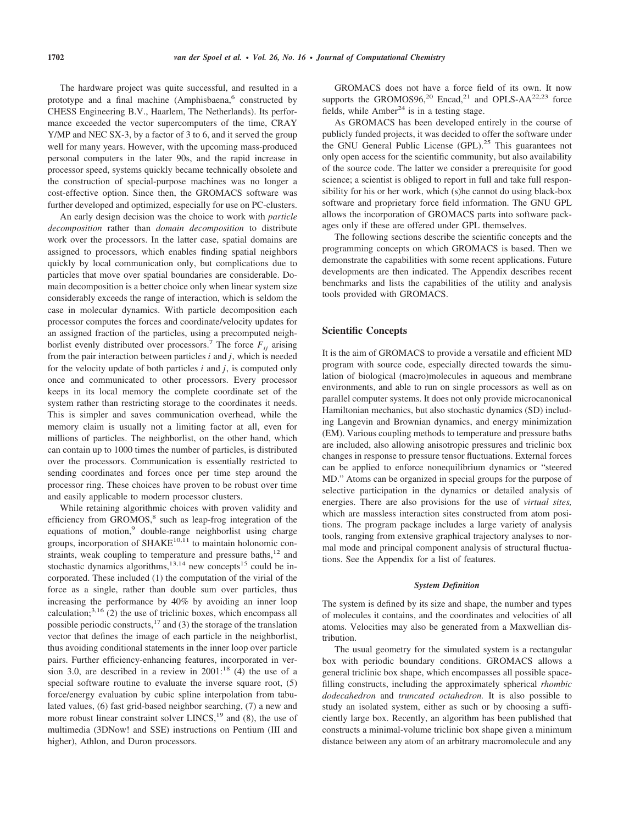The hardware project was quite successful, and resulted in a prototype and a final machine (Amphisbaena,<sup>6</sup> constructed by CHESS Engineering B.V., Haarlem, The Netherlands). Its performance exceeded the vector supercomputers of the time, CRAY Y/MP and NEC SX-3, by a factor of 3 to 6, and it served the group well for many years. However, with the upcoming mass-produced personal computers in the later 90s, and the rapid increase in processor speed, systems quickly became technically obsolete and the construction of special-purpose machines was no longer a cost-effective option. Since then, the GROMACS software was further developed and optimized, especially for use on PC-clusters.

An early design decision was the choice to work with *particle decomposition* rather than *domain decomposition* to distribute work over the processors. In the latter case, spatial domains are assigned to processors, which enables finding spatial neighbors quickly by local communication only, but complications due to particles that move over spatial boundaries are considerable. Domain decomposition is a better choice only when linear system size considerably exceeds the range of interaction, which is seldom the case in molecular dynamics. With particle decomposition each processor computes the forces and coordinate/velocity updates for an assigned fraction of the particles, using a precomputed neighborlist evenly distributed over processors.<sup>7</sup> The force  $F_{ij}$  arising from the pair interaction between particles *i* and *j*, which is needed for the velocity update of both particles *i* and *j*, is computed only once and communicated to other processors. Every processor keeps in its local memory the complete coordinate set of the system rather than restricting storage to the coordinates it needs. This is simpler and saves communication overhead, while the memory claim is usually not a limiting factor at all, even for millions of particles. The neighborlist, on the other hand, which can contain up to 1000 times the number of particles, is distributed over the processors. Communication is essentially restricted to sending coordinates and forces once per time step around the processor ring. These choices have proven to be robust over time and easily applicable to modern processor clusters.

While retaining algorithmic choices with proven validity and efficiency from  $GROMOS$ ,<sup>8</sup> such as leap-frog integration of the equations of motion,<sup>9</sup> double-range neighborlist using charge groups, incorporation of SHAKE<sup>10,11</sup> to maintain holonomic constraints, weak coupling to temperature and pressure baths, $12$  and stochastic dynamics algorithms, $13,14$  new concepts<sup>15</sup> could be incorporated. These included (1) the computation of the virial of the force as a single, rather than double sum over particles, thus increasing the performance by 40% by avoiding an inner loop calculation; $3,16$  (2) the use of triclinic boxes, which encompass all possible periodic constructs,<sup>17</sup> and (3) the storage of the translation vector that defines the image of each particle in the neighborlist, thus avoiding conditional statements in the inner loop over particle pairs. Further efficiency-enhancing features, incorporated in version 3.0, are described in a review in  $2001$ :<sup>18</sup> (4) the use of a special software routine to evaluate the inverse square root, (5) force/energy evaluation by cubic spline interpolation from tabulated values, (6) fast grid-based neighbor searching, (7) a new and more robust linear constraint solver  $LINCS$ ,<sup>19</sup> and (8), the use of multimedia (3DNow! and SSE) instructions on Pentium (III and higher), Athlon, and Duron processors.

GROMACS does not have a force field of its own. It now supports the GROMOS96, $^{20}$  Encad, $^{21}$  and OPLS-AA<sup>22,23</sup> force fields, while  $Amber<sup>24</sup>$  is in a testing stage.

As GROMACS has been developed entirely in the course of publicly funded projects, it was decided to offer the software under the GNU General Public License (GPL).<sup>25</sup> This guarantees not only open access for the scientific community, but also availability of the source code. The latter we consider a prerequisite for good science; a scientist is obliged to report in full and take full responsibility for his or her work, which (s)he cannot do using black-box software and proprietary force field information. The GNU GPL allows the incorporation of GROMACS parts into software packages only if these are offered under GPL themselves.

The following sections describe the scientific concepts and the programming concepts on which GROMACS is based. Then we demonstrate the capabilities with some recent applications. Future developments are then indicated. The Appendix describes recent benchmarks and lists the capabilities of the utility and analysis tools provided with GROMACS.

## **Scientific Concepts**

It is the aim of GROMACS to provide a versatile and efficient MD program with source code, especially directed towards the simulation of biological (macro)molecules in aqueous and membrane environments, and able to run on single processors as well as on parallel computer systems. It does not only provide microcanonical Hamiltonian mechanics, but also stochastic dynamics (SD) including Langevin and Brownian dynamics, and energy minimization (EM). Various coupling methods to temperature and pressure baths are included, also allowing anisotropic pressures and triclinic box changes in response to pressure tensor fluctuations. External forces can be applied to enforce nonequilibrium dynamics or "steered MD." Atoms can be organized in special groups for the purpose of selective participation in the dynamics or detailed analysis of energies. There are also provisions for the use of *virtual sites,* which are massless interaction sites constructed from atom positions. The program package includes a large variety of analysis tools, ranging from extensive graphical trajectory analyses to normal mode and principal component analysis of structural fluctuations. See the Appendix for a list of features.

#### *System Definition*

The system is defined by its size and shape, the number and types of molecules it contains, and the coordinates and velocities of all atoms. Velocities may also be generated from a Maxwellian distribution.

The usual geometry for the simulated system is a rectangular box with periodic boundary conditions. GROMACS allows a general triclinic box shape, which encompasses all possible spacefilling constructs, including the approximately spherical *rhombic dodecahedron* and *truncated octahedron.* It is also possible to study an isolated system, either as such or by choosing a sufficiently large box. Recently, an algorithm has been published that constructs a minimal-volume triclinic box shape given a minimum distance between any atom of an arbitrary macromolecule and any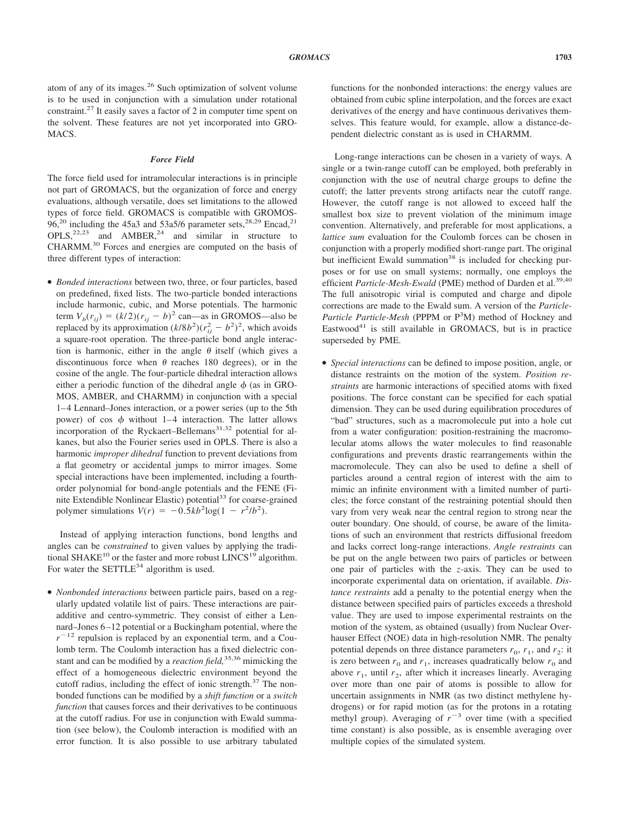atom of any of its images.<sup>26</sup> Such optimization of solvent volume is to be used in conjunction with a simulation under rotational constraint.<sup>27</sup> It easily saves a factor of 2 in computer time spent on the solvent. These features are not yet incorporated into GRO-MACS.

#### *Force Field*

The force field used for intramolecular interactions is in principle not part of GROMACS, but the organization of force and energy evaluations, although versatile, does set limitations to the allowed types of force field. GROMACS is compatible with GROMOS-96,<sup>20</sup> including the 45a3 and 53a5/6 parameter sets,<sup>28,29</sup> Encad,<sup>21</sup>  $OPLS$ ,<sup>22,23</sup> and AMBER,<sup>24</sup> and similar in structure to CHARMM.30 Forces and energies are computed on the basis of three different types of interaction:

● *Bonded interactions* between two, three, or four particles, based on predefined, fixed lists. The two-particle bonded interactions include harmonic, cubic, and Morse potentials. The harmonic term  $V_b(r_{ij}) = (k/2)(r_{ij} - b)^2$  can—as in GROMOS—also be replaced by its approximation  $(k/8b^2)(r_{ij}^2 - b^2)^2$ , which avoids a square-root operation. The three-particle bond angle interaction is harmonic, either in the angle  $\theta$  itself (which gives a discontinuous force when  $\theta$  reaches 180 degrees), or in the cosine of the angle. The four-particle dihedral interaction allows either a periodic function of the dihedral angle  $\phi$  (as in GRO-MOS, AMBER, and CHARMM) in conjunction with a special 1– 4 Lennard–Jones interaction, or a power series (up to the 5th power) of cos  $\phi$  without 1–4 interaction. The latter allows incorporation of the Ryckaert–Bellemans<sup>31,32</sup> potential for alkanes, but also the Fourier series used in OPLS. There is also a harmonic *improper dihedral* function to prevent deviations from a flat geometry or accidental jumps to mirror images. Some special interactions have been implemented, including a fourthorder polynomial for bond-angle potentials and the FENE (Finite Extendible Nonlinear Elastic) potential<sup>33</sup> for coarse-grained polymer simulations  $V(r) = -0.5kb^2\log(1 - r^2/b^2)$ .

Instead of applying interaction functions, bond lengths and angles can be *constrained* to given values by applying the traditional SHAKE<sup>10</sup> or the faster and more robust  $LINCS<sup>19</sup>$  algorithm. For water the  $SETTLE^{34}$  algorithm is used.

● *Nonbonded interactions* between particle pairs, based on a regularly updated volatile list of pairs. These interactions are pairadditive and centro-symmetric. They consist of either a Lennard–Jones 6–12 potential or a Buckingham potential, where the  $r^{-12}$  repulsion is replaced by an exponential term, and a Coulomb term. The Coulomb interaction has a fixed dielectric constant and can be modified by a *reaction field,*35,36 mimicking the effect of a homogeneous dielectric environment beyond the cutoff radius, including the effect of ionic strength.37 The nonbonded functions can be modified by a *shift function* or a *switch function* that causes forces and their derivatives to be continuous at the cutoff radius. For use in conjunction with Ewald summation (see below), the Coulomb interaction is modified with an error function. It is also possible to use arbitrary tabulated

functions for the nonbonded interactions: the energy values are obtained from cubic spline interpolation, and the forces are exact derivatives of the energy and have continuous derivatives themselves. This feature would, for example, allow a distance-dependent dielectric constant as is used in CHARMM.

Long-range interactions can be chosen in a variety of ways. A single or a twin-range cutoff can be employed, both preferably in conjunction with the use of neutral charge groups to define the cutoff; the latter prevents strong artifacts near the cutoff range. However, the cutoff range is not allowed to exceed half the smallest box size to prevent violation of the minimum image convention. Alternatively, and preferable for most applications, a *lattice sum* evaluation for the Coulomb forces can be chosen in conjunction with a properly modified short-range part. The original but inefficient Ewald summation<sup>38</sup> is included for checking purposes or for use on small systems; normally, one employs the efficient *Particle-Mesh-Ewald* (PME) method of Darden et al.<sup>39,40</sup> The full anisotropic virial is computed and charge and dipole corrections are made to the Ewald sum. A version of the *Particle-*Particle Particle-Mesh (PPPM or P<sup>3</sup>M) method of Hockney and  $Eastwood<sup>41</sup>$  is still available in GROMACS, but is in practice superseded by PME.

● *Special interactions* can be defined to impose position, angle, or distance restraints on the motion of the system. *Position restraints* are harmonic interactions of specified atoms with fixed positions. The force constant can be specified for each spatial dimension. They can be used during equilibration procedures of "bad" structures, such as a macromolecule put into a hole cut from a water configuration: position-restraining the macromolecular atoms allows the water molecules to find reasonable configurations and prevents drastic rearrangements within the macromolecule. They can also be used to define a shell of particles around a central region of interest with the aim to mimic an infinite environment with a limited number of particles; the force constant of the restraining potential should then vary from very weak near the central region to strong near the outer boundary. One should, of course, be aware of the limitations of such an environment that restricts diffusional freedom and lacks correct long-range interactions. *Angle restraints* can be put on the angle between two pairs of particles or between one pair of particles with the *z*-axis. They can be used to incorporate experimental data on orientation, if available. *Distance restraints* add a penalty to the potential energy when the distance between specified pairs of particles exceeds a threshold value. They are used to impose experimental restraints on the motion of the system, as obtained (usually) from Nuclear Overhauser Effect (NOE) data in high-resolution NMR. The penalty potential depends on three distance parameters  $r_0$ ,  $r_1$ , and  $r_2$ : it is zero between  $r_0$  and  $r_1$ , increases quadratically below  $r_0$  and above  $r_1$ , until  $r_2$ , after which it increases linearly. Averaging over more than one pair of atoms is possible to allow for uncertain assignments in NMR (as two distinct methylene hydrogens) or for rapid motion (as for the protons in a rotating methyl group). Averaging of  $r^{-3}$  over time (with a specified time constant) is also possible, as is ensemble averaging over multiple copies of the simulated system.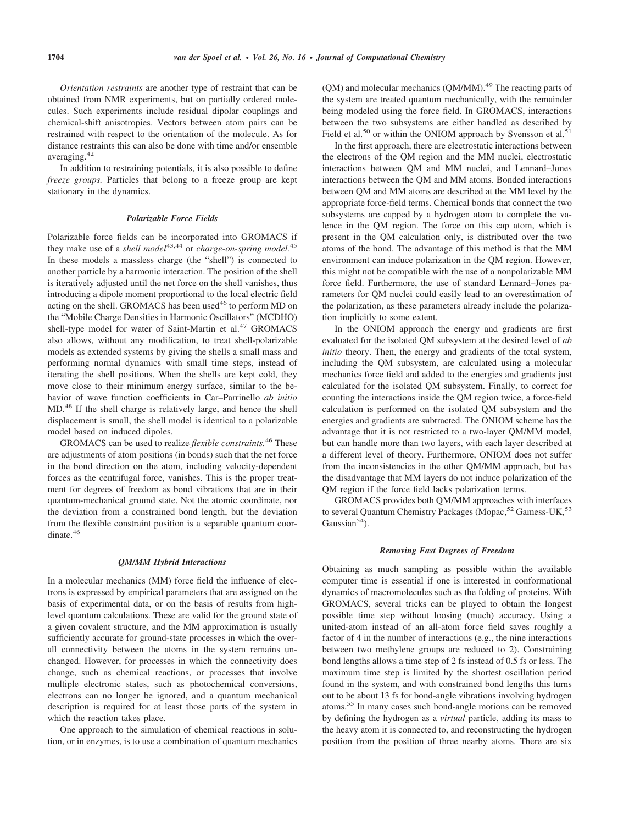*Orientation restraints* are another type of restraint that can be obtained from NMR experiments, but on partially ordered molecules. Such experiments include residual dipolar couplings and chemical-shift anisotropies. Vectors between atom pairs can be restrained with respect to the orientation of the molecule. As for distance restraints this can also be done with time and/or ensemble averaging.42

In addition to restraining potentials, it is also possible to define *freeze groups.* Particles that belong to a freeze group are kept stationary in the dynamics.

#### *Polarizable Force Fields*

Polarizable force fields can be incorporated into GROMACS if they make use of a *shell model*<sup>43,44</sup> or *charge-on-spring model.*<sup>45</sup> In these models a massless charge (the "shell") is connected to another particle by a harmonic interaction. The position of the shell is iteratively adjusted until the net force on the shell vanishes, thus introducing a dipole moment proportional to the local electric field acting on the shell. GROMACS has been used<sup>46</sup> to perform MD on the "Mobile Charge Densities in Harmonic Oscillators" (MCDHO) shell-type model for water of Saint-Martin et al.<sup>47</sup> GROMACS also allows, without any modification, to treat shell-polarizable models as extended systems by giving the shells a small mass and performing normal dynamics with small time steps, instead of iterating the shell positions. When the shells are kept cold, they move close to their minimum energy surface, similar to the behavior of wave function coefficients in Car–Parrinello *ab initio* MD.48 If the shell charge is relatively large, and hence the shell displacement is small, the shell model is identical to a polarizable model based on induced dipoles.

GROMACS can be used to realize *flexible constraints.*<sup>46</sup> These are adjustments of atom positions (in bonds) such that the net force in the bond direction on the atom, including velocity-dependent forces as the centrifugal force, vanishes. This is the proper treatment for degrees of freedom as bond vibrations that are in their quantum-mechanical ground state. Not the atomic coordinate, nor the deviation from a constrained bond length, but the deviation from the flexible constraint position is a separable quantum coordinate.<sup>46</sup>

### *QM/MM Hybrid Interactions*

In a molecular mechanics (MM) force field the influence of electrons is expressed by empirical parameters that are assigned on the basis of experimental data, or on the basis of results from highlevel quantum calculations. These are valid for the ground state of a given covalent structure, and the MM approximation is usually sufficiently accurate for ground-state processes in which the overall connectivity between the atoms in the system remains unchanged. However, for processes in which the connectivity does change, such as chemical reactions, or processes that involve multiple electronic states, such as photochemical conversions, electrons can no longer be ignored, and a quantum mechanical description is required for at least those parts of the system in which the reaction takes place.

One approach to the simulation of chemical reactions in solution, or in enzymes, is to use a combination of quantum mechanics  $(QM)$  and molecular mechanics  $(QM/MM)$ .<sup>49</sup> The reacting parts of the system are treated quantum mechanically, with the remainder being modeled using the force field. In GROMACS, interactions between the two subsystems are either handled as described by Field et al.<sup>50</sup> or within the ONIOM approach by Svensson et al.<sup>51</sup>

In the first approach, there are electrostatic interactions between the electrons of the QM region and the MM nuclei, electrostatic interactions between QM and MM nuclei, and Lennard–Jones interactions between the QM and MM atoms. Bonded interactions between QM and MM atoms are described at the MM level by the appropriate force-field terms. Chemical bonds that connect the two subsystems are capped by a hydrogen atom to complete the valence in the QM region. The force on this cap atom, which is present in the QM calculation only, is distributed over the two atoms of the bond. The advantage of this method is that the MM environment can induce polarization in the QM region. However, this might not be compatible with the use of a nonpolarizable MM force field. Furthermore, the use of standard Lennard–Jones parameters for QM nuclei could easily lead to an overestimation of the polarization, as these parameters already include the polarization implicitly to some extent.

In the ONIOM approach the energy and gradients are first evaluated for the isolated QM subsystem at the desired level of *ab initio* theory. Then, the energy and gradients of the total system, including the QM subsystem, are calculated using a molecular mechanics force field and added to the energies and gradients just calculated for the isolated QM subsystem. Finally, to correct for counting the interactions inside the QM region twice, a force-field calculation is performed on the isolated QM subsystem and the energies and gradients are subtracted. The ONIOM scheme has the advantage that it is not restricted to a two-layer QM/MM model, but can handle more than two layers, with each layer described at a different level of theory. Furthermore, ONIOM does not suffer from the inconsistencies in the other QM/MM approach, but has the disadvantage that MM layers do not induce polarization of the QM region if the force field lacks polarization terms.

GROMACS provides both QM/MM approaches with interfaces to several Quantum Chemistry Packages (Mopac,<sup>52</sup> Gamess-UK,<sup>53</sup>) Gaussian $54$ ).

#### *Removing Fast Degrees of Freedom*

Obtaining as much sampling as possible within the available computer time is essential if one is interested in conformational dynamics of macromolecules such as the folding of proteins. With GROMACS, several tricks can be played to obtain the longest possible time step without loosing (much) accuracy. Using a united-atom instead of an all-atom force field saves roughly a factor of 4 in the number of interactions (e.g., the nine interactions between two methylene groups are reduced to 2). Constraining bond lengths allows a time step of 2 fs instead of 0.5 fs or less. The maximum time step is limited by the shortest oscillation period found in the system, and with constrained bond lengths this turns out to be about 13 fs for bond-angle vibrations involving hydrogen atoms.55 In many cases such bond-angle motions can be removed by defining the hydrogen as a *virtual* particle, adding its mass to the heavy atom it is connected to, and reconstructing the hydrogen position from the position of three nearby atoms. There are six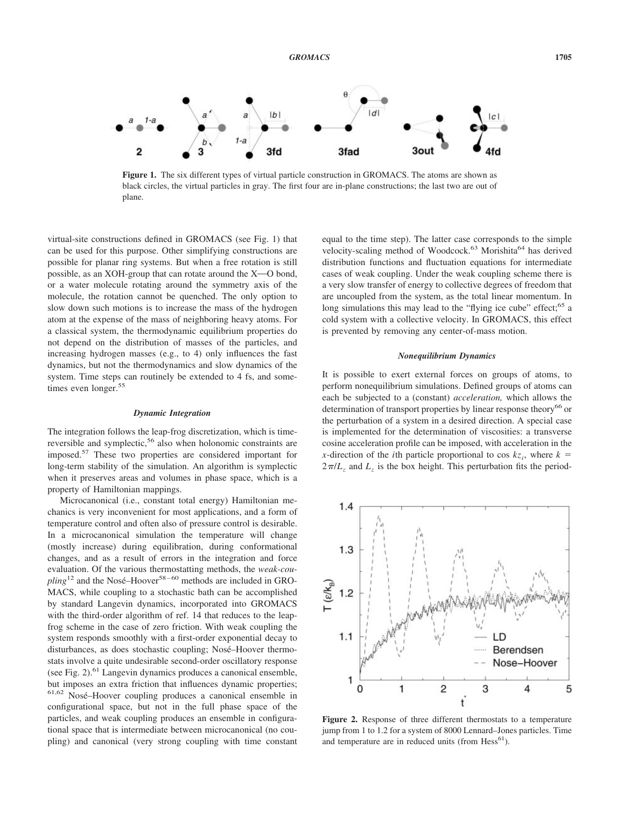

**Figure 1.** The six different types of virtual particle construction in GROMACS. The atoms are shown as black circles, the virtual particles in gray. The first four are in-plane constructions; the last two are out of plane.

virtual-site constructions defined in GROMACS (see Fig. 1) that can be used for this purpose. Other simplifying constructions are possible for planar ring systems. But when a free rotation is still possible, as an XOH-group that can rotate around the X-O bond, or a water molecule rotating around the symmetry axis of the molecule, the rotation cannot be quenched. The only option to slow down such motions is to increase the mass of the hydrogen atom at the expense of the mass of neighboring heavy atoms. For a classical system, the thermodynamic equilibrium properties do not depend on the distribution of masses of the particles, and increasing hydrogen masses (e.g., to 4) only influences the fast dynamics, but not the thermodynamics and slow dynamics of the system. Time steps can routinely be extended to 4 fs, and sometimes even longer.<sup>55</sup>

#### *Dynamic Integration*

The integration follows the leap-frog discretization, which is timereversible and symplectic,<sup>56</sup> also when holonomic constraints are imposed.57 These two properties are considered important for long-term stability of the simulation. An algorithm is symplectic when it preserves areas and volumes in phase space, which is a property of Hamiltonian mappings.

Microcanonical (i.e., constant total energy) Hamiltonian mechanics is very inconvenient for most applications, and a form of temperature control and often also of pressure control is desirable. In a microcanonical simulation the temperature will change (mostly increase) during equilibration, during conformational changes, and as a result of errors in the integration and force evaluation. Of the various thermostatting methods, the *weak-cou-* $\nu$ *pling*<sup>12</sup> and the Nosé–Hoover<sup>58-60</sup> methods are included in GRO-MACS, while coupling to a stochastic bath can be accomplished by standard Langevin dynamics, incorporated into GROMACS with the third-order algorithm of ref. 14 that reduces to the leapfrog scheme in the case of zero friction. With weak coupling the system responds smoothly with a first-order exponential decay to disturbances, as does stochastic coupling; Nosé-Hoover thermostats involve a quite undesirable second-order oscillatory response (see Fig. 2).<sup>61</sup> Langevin dynamics produces a canonical ensemble, but imposes an extra friction that influences dynamic properties; 61,62 Nosé-Hoover coupling produces a canonical ensemble in configurational space, but not in the full phase space of the particles, and weak coupling produces an ensemble in configurational space that is intermediate between microcanonical (no coupling) and canonical (very strong coupling with time constant equal to the time step). The latter case corresponds to the simple velocity-scaling method of Woodcock.<sup>63</sup> Morishita<sup>64</sup> has derived distribution functions and fluctuation equations for intermediate cases of weak coupling. Under the weak coupling scheme there is a very slow transfer of energy to collective degrees of freedom that are uncoupled from the system, as the total linear momentum. In long simulations this may lead to the "flying ice cube" effect;<sup>65</sup> a cold system with a collective velocity. In GROMACS, this effect is prevented by removing any center-of-mass motion.

#### *Nonequilibrium Dynamics*

It is possible to exert external forces on groups of atoms, to perform nonequilibrium simulations. Defined groups of atoms can each be subjected to a (constant) *acceleration,* which allows the determination of transport properties by linear response theory<sup>66</sup> or the perturbation of a system in a desired direction. A special case is implemented for the determination of viscosities: a transverse cosine acceleration profile can be imposed, with acceleration in the *x*-direction of the *i*th particle proportional to cos  $kz_i$ , where  $k =$  $2\pi/L$ <sub>z</sub> and  $L_z$  is the box height. This perturbation fits the period-



**Figure 2.** Response of three different thermostats to a temperature jump from 1 to 1.2 for a system of 8000 Lennard–Jones particles. Time and temperature are in reduced units (from  $Hess<sup>61</sup>$ ).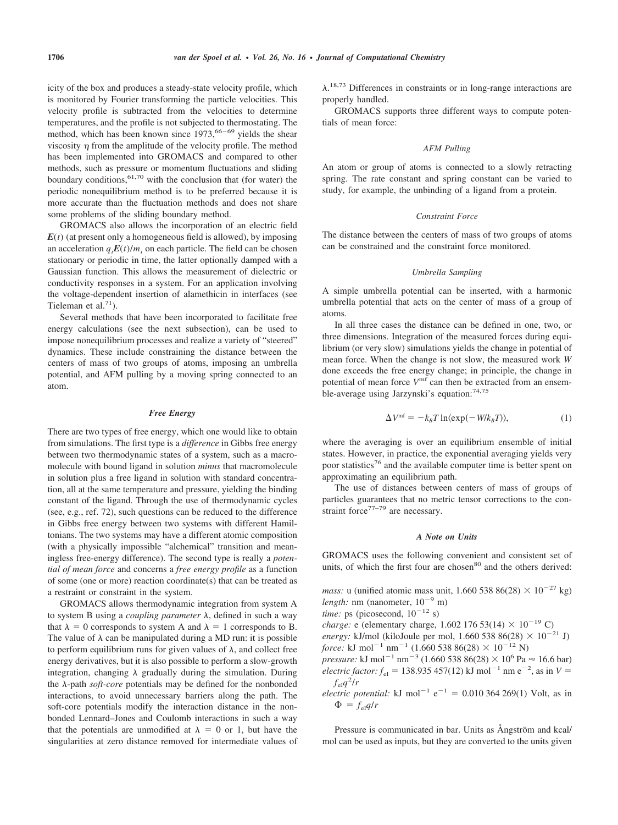icity of the box and produces a steady-state velocity profile, which is monitored by Fourier transforming the particle velocities. This velocity profile is subtracted from the velocities to determine temperatures, and the profile is not subjected to thermostating. The method, which has been known since  $1973,66-69$  yields the shear viscosity  $\eta$  from the amplitude of the velocity profile. The method has been implemented into GROMACS and compared to other methods, such as pressure or momentum fluctuations and sliding boundary conditions,  $61,70$  with the conclusion that (for water) the periodic nonequilibrium method is to be preferred because it is more accurate than the fluctuation methods and does not share some problems of the sliding boundary method.

GROMACS also allows the incorporation of an electric field  $E(t)$  (at present only a homogeneous field is allowed), by imposing an acceleration  $q_i E(t)/m_i$  on each particle. The field can be chosen stationary or periodic in time, the latter optionally damped with a Gaussian function. This allows the measurement of dielectric or conductivity responses in a system. For an application involving the voltage-dependent insertion of alamethicin in interfaces (see Tieleman et al. $71$ ).

Several methods that have been incorporated to facilitate free energy calculations (see the next subsection), can be used to impose nonequilibrium processes and realize a variety of "steered" dynamics. These include constraining the distance between the centers of mass of two groups of atoms, imposing an umbrella potential, and AFM pulling by a moving spring connected to an atom.

## *Free Energy*

There are two types of free energy, which one would like to obtain from simulations. The first type is a *difference* in Gibbs free energy between two thermodynamic states of a system, such as a macromolecule with bound ligand in solution *minus* that macromolecule in solution plus a free ligand in solution with standard concentration, all at the same temperature and pressure, yielding the binding constant of the ligand. Through the use of thermodynamic cycles (see, e.g., ref. 72), such questions can be reduced to the difference in Gibbs free energy between two systems with different Hamiltonians. The two systems may have a different atomic composition (with a physically impossible "alchemical" transition and meaningless free-energy difference). The second type is really a *potential of mean force* and concerns a *free energy profile* as a function of some (one or more) reaction coordinate(s) that can be treated as a restraint or constraint in the system.

GROMACS allows thermodynamic integration from system A to system B using a *coupling parameter*  $\lambda$ , defined in such a way that  $\lambda = 0$  corresponds to system A and  $\lambda = 1$  corresponds to B. The value of  $\lambda$  can be manipulated during a MD run: it is possible to perform equilibrium runs for given values of  $\lambda$ , and collect free energy derivatives, but it is also possible to perform a slow-growth integration, changing  $\lambda$  gradually during the simulation. During the  $\lambda$ -path *soft-core* potentials may be defined for the nonbonded interactions, to avoid unnecessary barriers along the path. The soft-core potentials modify the interaction distance in the nonbonded Lennard–Jones and Coulomb interactions in such a way that the potentials are unmodified at  $\lambda = 0$  or 1, but have the singularities at zero distance removed for intermediate values of

 $\lambda$ .<sup>18,73</sup> Differences in constraints or in long-range interactions are properly handled.

GROMACS supports three different ways to compute potentials of mean force:

#### *AFM Pulling*

An atom or group of atoms is connected to a slowly retracting spring. The rate constant and spring constant can be varied to study, for example, the unbinding of a ligand from a protein.

#### *Constraint Force*

The distance between the centers of mass of two groups of atoms can be constrained and the constraint force monitored.

#### *Umbrella Sampling*

A simple umbrella potential can be inserted, with a harmonic umbrella potential that acts on the center of mass of a group of atoms.

In all three cases the distance can be defined in one, two, or three dimensions. Integration of the measured forces during equilibrium (or very slow) simulations yields the change in potential of mean force. When the change is not slow, the measured work *W* done exceeds the free energy change; in principle, the change in potential of mean force  $V^{\text{mf}}$  can then be extracted from an ensemble-average using Jarzynski's equation: $74,75$ 

$$
\Delta V^{\text{mf}} = -k_B T \ln \langle \exp(-W/k_B T) \rangle, \tag{1}
$$

where the averaging is over an equilibrium ensemble of initial states. However, in practice, the exponential averaging yields very poor statistics76 and the available computer time is better spent on approximating an equilibrium path.

The use of distances between centers of mass of groups of particles guarantees that no metric tensor corrections to the constraint force $77-79$  are necessary.

#### *A Note on Units*

GROMACS uses the following convenient and consistent set of units, of which the first four are chosen<sup>80</sup> and the others derived:

*mass:* u (unified atomic mass unit,  $1.660\,538\,86(28) \times 10^{-27}$  kg)  $length:$  nm (nanometer,  $10^{-9}$  m)

*time:* ps (picosecond,  $10^{-12}$  s)

*charge:* e (elementary charge, 1.602 176 53(14)  $\times$  10<sup>-19</sup> C)

*energy:* kJ/mol (kiloJoule per mol, 1.660 538 86(28)  $\times$  10<sup>-21</sup> J) *force:* kJ mol<sup>-1</sup> nm<sup>-1</sup> (1.660 538 86(28)  $\times$  10<sup>-12</sup> N)

*pressure:* kJ mol<sup>-1</sup> nm<sup>-3</sup> (1.660 538 86(28)  $\times$  10<sup>6</sup> Pa  $\approx$  16.6 bar) *electric factor:*  $f_{el} = 138.935\,457(12)$  kJ mol<sup>-1</sup> nm e<sup>-2</sup>, as in  $V =$  $f_{el}q^2/r$ 

*electric potential:* kJ mol<sup>-1</sup>  $e^{-1}$  = 0.010 364 269(1) Volt, as in  $\Phi = f_{\text{el}} q/r$ 

Pressure is communicated in bar. Units as Ångström and kcal/ mol can be used as inputs, but they are converted to the units given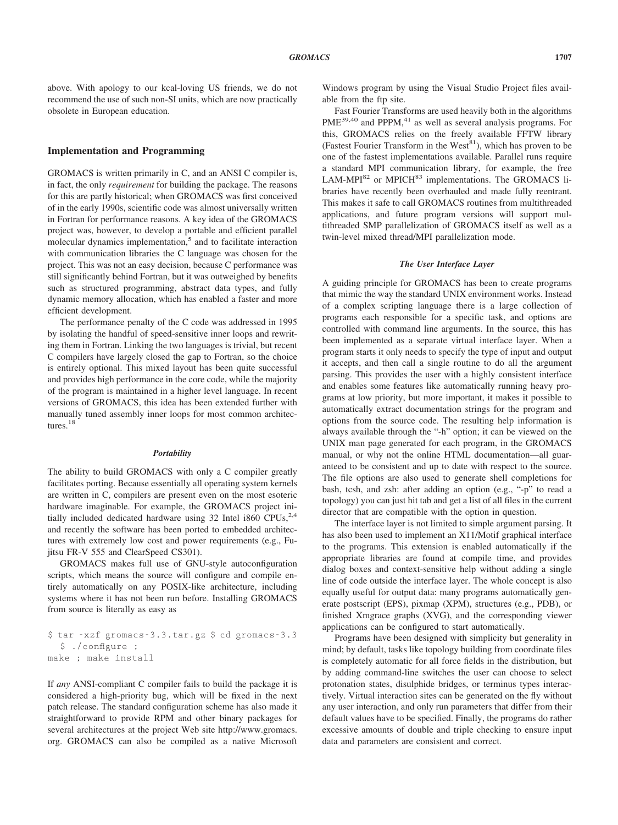above. With apology to our kcal-loving US friends, we do not recommend the use of such non-SI units, which are now practically obsolete in European education.

### **Implementation and Programming**

GROMACS is written primarily in C, and an ANSI C compiler is, in fact, the only *requirement* for building the package. The reasons for this are partly historical; when GROMACS was first conceived of in the early 1990s, scientific code was almost universally written in Fortran for performance reasons. A key idea of the GROMACS project was, however, to develop a portable and efficient parallel molecular dynamics implementation,<sup>5</sup> and to facilitate interaction with communication libraries the C language was chosen for the project. This was not an easy decision, because C performance was still significantly behind Fortran, but it was outweighed by benefits such as structured programming, abstract data types, and fully dynamic memory allocation, which has enabled a faster and more efficient development.

The performance penalty of the C code was addressed in 1995 by isolating the handful of speed-sensitive inner loops and rewriting them in Fortran. Linking the two languages is trivial, but recent C compilers have largely closed the gap to Fortran, so the choice is entirely optional. This mixed layout has been quite successful and provides high performance in the core code, while the majority of the program is maintained in a higher level language. In recent versions of GROMACS, this idea has been extended further with manually tuned assembly inner loops for most common architectures.<sup>18</sup>

#### *Portability*

The ability to build GROMACS with only a C compiler greatly facilitates porting. Because essentially all operating system kernels are written in C, compilers are present even on the most esoteric hardware imaginable. For example, the GROMACS project initially included dedicated hardware using 32 Intel i860 CPUs, $2.4$ and recently the software has been ported to embedded architectures with extremely low cost and power requirements (e.g., Fujitsu FR-V 555 and ClearSpeed CS301).

GROMACS makes full use of GNU-style autoconfiguration scripts, which means the source will configure and compile entirely automatically on any POSIX-like architecture, including systems where it has not been run before. Installing GROMACS from source is literally as easy as

```
$ tar -xzf gromacs-3.3.tar.gz $ cd gromacs-3.3
  $ ./configure ;
make ; make install
```
If *any* ANSI-compliant C compiler fails to build the package it is considered a high-priority bug, which will be fixed in the next patch release. The standard configuration scheme has also made it straightforward to provide RPM and other binary packages for several architectures at the project Web site http://www.gromacs. org. GROMACS can also be compiled as a native Microsoft

Windows program by using the Visual Studio Project files available from the ftp site.

Fast Fourier Transforms are used heavily both in the algorithms  $PME<sup>39,40</sup>$  and  $PPPM<sup>41</sup>$  as well as several analysis programs. For this, GROMACS relies on the freely available FFTW library (Fastest Fourier Transform in the  $West^{81}$ ), which has proven to be one of the fastest implementations available. Parallel runs require a standard MPI communication library, for example, the free LAM-MPI<sup>82</sup> or MPICH<sup>83</sup> implementations. The GROMACS libraries have recently been overhauled and made fully reentrant. This makes it safe to call GROMACS routines from multithreaded applications, and future program versions will support multithreaded SMP parallelization of GROMACS itself as well as a twin-level mixed thread/MPI parallelization mode.

#### *The User Interface Layer*

A guiding principle for GROMACS has been to create programs that mimic the way the standard UNIX environment works. Instead of a complex scripting language there is a large collection of programs each responsible for a specific task, and options are controlled with command line arguments. In the source, this has been implemented as a separate virtual interface layer. When a program starts it only needs to specify the type of input and output it accepts, and then call a single routine to do all the argument parsing. This provides the user with a highly consistent interface and enables some features like automatically running heavy programs at low priority, but more important, it makes it possible to automatically extract documentation strings for the program and options from the source code. The resulting help information is always available through the "-h" option; it can be viewed on the UNIX man page generated for each program, in the GROMACS manual, or why not the online HTML documentation—all guaranteed to be consistent and up to date with respect to the source. The file options are also used to generate shell completions for bash, tcsh, and zsh: after adding an option (e.g., "-p" to read a topology) you can just hit tab and get a list of all files in the current director that are compatible with the option in question.

The interface layer is not limited to simple argument parsing. It has also been used to implement an X11/Motif graphical interface to the programs. This extension is enabled automatically if the appropriate libraries are found at compile time, and provides dialog boxes and context-sensitive help without adding a single line of code outside the interface layer. The whole concept is also equally useful for output data: many programs automatically generate postscript (EPS), pixmap (XPM), structures (e.g., PDB), or finished Xmgrace graphs (XVG), and the corresponding viewer applications can be configured to start automatically.

Programs have been designed with simplicity but generality in mind; by default, tasks like topology building from coordinate files is completely automatic for all force fields in the distribution, but by adding command-line switches the user can choose to select protonation states, disulphide bridges, or terminus types interactively. Virtual interaction sites can be generated on the fly without any user interaction, and only run parameters that differ from their default values have to be specified. Finally, the programs do rather excessive amounts of double and triple checking to ensure input data and parameters are consistent and correct.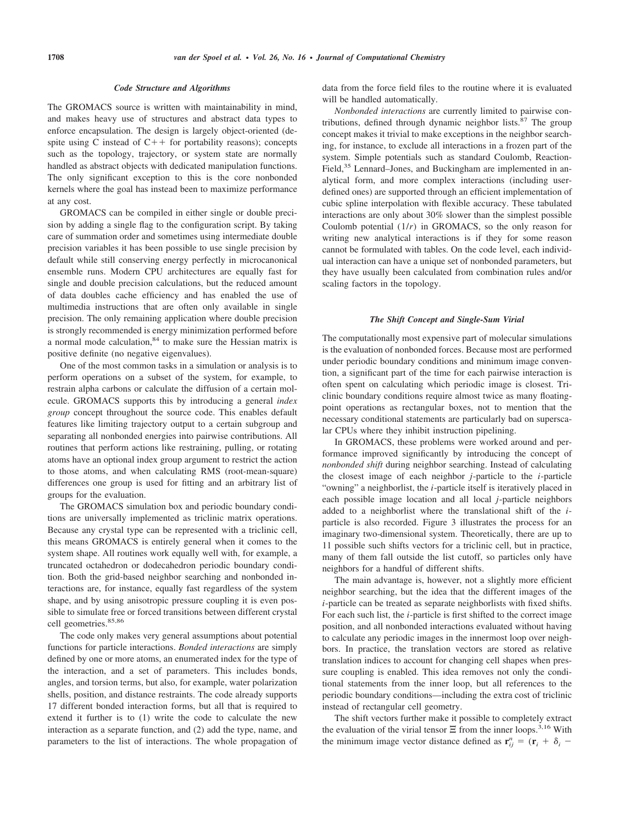#### *Code Structure and Algorithms*

The GROMACS source is written with maintainability in mind, and makes heavy use of structures and abstract data types to enforce encapsulation. The design is largely object-oriented (despite using C instead of  $C++$  for portability reasons); concepts such as the topology, trajectory, or system state are normally handled as abstract objects with dedicated manipulation functions. The only significant exception to this is the core nonbonded kernels where the goal has instead been to maximize performance at any cost.

GROMACS can be compiled in either single or double precision by adding a single flag to the configuration script. By taking care of summation order and sometimes using intermediate double precision variables it has been possible to use single precision by default while still conserving energy perfectly in microcanonical ensemble runs. Modern CPU architectures are equally fast for single and double precision calculations, but the reduced amount of data doubles cache efficiency and has enabled the use of multimedia instructions that are often only available in single precision. The only remaining application where double precision is strongly recommended is energy minimization performed before a normal mode calculation,<sup>84</sup> to make sure the Hessian matrix is positive definite (no negative eigenvalues).

One of the most common tasks in a simulation or analysis is to perform operations on a subset of the system, for example, to restrain alpha carbons or calculate the diffusion of a certain molecule. GROMACS supports this by introducing a general *index group* concept throughout the source code. This enables default features like limiting trajectory output to a certain subgroup and separating all nonbonded energies into pairwise contributions. All routines that perform actions like restraining, pulling, or rotating atoms have an optional index group argument to restrict the action to those atoms, and when calculating RMS (root-mean-square) differences one group is used for fitting and an arbitrary list of groups for the evaluation.

The GROMACS simulation box and periodic boundary conditions are universally implemented as triclinic matrix operations. Because any crystal type can be represented with a triclinic cell, this means GROMACS is entirely general when it comes to the system shape. All routines work equally well with, for example, a truncated octahedron or dodecahedron periodic boundary condition. Both the grid-based neighbor searching and nonbonded interactions are, for instance, equally fast regardless of the system shape, and by using anisotropic pressure coupling it is even possible to simulate free or forced transitions between different crystal cell geometries.<sup>85,86</sup>

The code only makes very general assumptions about potential functions for particle interactions. *Bonded interactions* are simply defined by one or more atoms, an enumerated index for the type of the interaction, and a set of parameters. This includes bonds, angles, and torsion terms, but also, for example, water polarization shells, position, and distance restraints. The code already supports 17 different bonded interaction forms, but all that is required to extend it further is to (1) write the code to calculate the new interaction as a separate function, and (2) add the type, name, and parameters to the list of interactions. The whole propagation of data from the force field files to the routine where it is evaluated will be handled automatically.

*Nonbonded interactions* are currently limited to pairwise contributions, defined through dynamic neighbor lists. $87$  The group concept makes it trivial to make exceptions in the neighbor searching, for instance, to exclude all interactions in a frozen part of the system. Simple potentials such as standard Coulomb, Reaction-Field,<sup>35</sup> Lennard–Jones, and Buckingham are implemented in analytical form, and more complex interactions (including userdefined ones) are supported through an efficient implementation of cubic spline interpolation with flexible accuracy. These tabulated interactions are only about 30% slower than the simplest possible Coulomb potential (1/*r*) in GROMACS, so the only reason for writing new analytical interactions is if they for some reason cannot be formulated with tables. On the code level, each individual interaction can have a unique set of nonbonded parameters, but they have usually been calculated from combination rules and/or scaling factors in the topology.

## *The Shift Concept and Single-Sum Virial*

The computationally most expensive part of molecular simulations is the evaluation of nonbonded forces. Because most are performed under periodic boundary conditions and minimum image convention, a significant part of the time for each pairwise interaction is often spent on calculating which periodic image is closest. Triclinic boundary conditions require almost twice as many floatingpoint operations as rectangular boxes, not to mention that the necessary conditional statements are particularly bad on superscalar CPUs where they inhibit instruction pipelining.

In GROMACS, these problems were worked around and performance improved significantly by introducing the concept of *nonbonded shift* during neighbor searching. Instead of calculating the closest image of each neighbor *j*-particle to the *i*-particle "owning" a neighborlist, the *i*-particle itself is iteratively placed in each possible image location and all local *j*-particle neighbors added to a neighborlist where the translational shift of the *i*particle is also recorded. Figure 3 illustrates the process for an imaginary two-dimensional system. Theoretically, there are up to 11 possible such shifts vectors for a triclinic cell, but in practice, many of them fall outside the list cutoff, so particles only have neighbors for a handful of different shifts.

The main advantage is, however, not a slightly more efficient neighbor searching, but the idea that the different images of the *i*-particle can be treated as separate neighborlists with fixed shifts. For each such list, the *i*-particle is first shifted to the correct image position, and all nonbonded interactions evaluated without having to calculate any periodic images in the innermost loop over neighbors. In practice, the translation vectors are stored as relative translation indices to account for changing cell shapes when pressure coupling is enabled. This idea removes not only the conditional statements from the inner loop, but all references to the periodic boundary conditions—including the extra cost of triclinic instead of rectangular cell geometry.

The shift vectors further make it possible to completely extract the evaluation of the virial tensor  $\Xi$  from the inner loops.<sup>3,16</sup> With the minimum image vector distance defined as  $\mathbf{r}_{ij}^n = (\mathbf{r}_i + \delta_i - \delta_j)$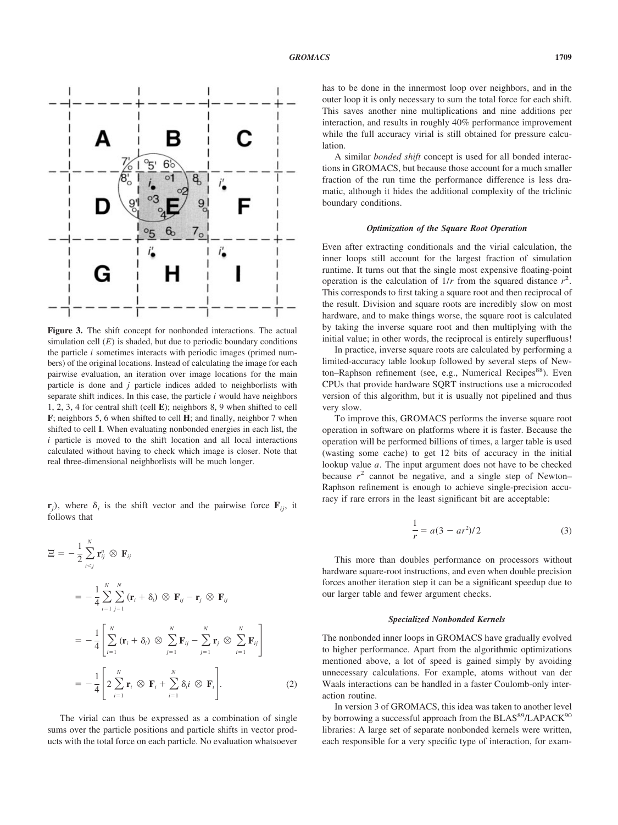

**Figure 3.** The shift concept for nonbonded interactions. The actual simulation cell  $(E)$  is shaded, but due to periodic boundary conditions the particle *i* sometimes interacts with periodic images (primed numbers) of the original locations. Instead of calculating the image for each pairwise evaluation, an iteration over image locations for the main particle is done and *j* particle indices added to neighborlists with separate shift indices. In this case, the particle *i* would have neighbors 1, 2, 3, 4 for central shift (cell **E**); neighbors 8, 9 when shifted to cell **F**; neighbors 5, 6 when shifted to cell **H**; and finally, neighbor 7 when shifted to cell **I**. When evaluating nonbonded energies in each list, the *i* particle is moved to the shift location and all local interactions calculated without having to check which image is closer. Note that real three-dimensional neighborlists will be much longer.

 $\mathbf{r}_j$ ), where  $\delta_i$  is the shift vector and the pairwise force  $\mathbf{F}_{ij}$ , it follows that

$$
\begin{split}\n\Xi &= -\frac{1}{2} \sum_{i < j}^{N} \mathbf{r}_{ij}^{n} \otimes \mathbf{F}_{ij} \\
&= -\frac{1}{4} \sum_{i=1}^{N} \sum_{j=1}^{N} (\mathbf{r}_{i} + \delta_{i}) \otimes \mathbf{F}_{ij} - \mathbf{r}_{j} \otimes \mathbf{F}_{ij} \\
&= -\frac{1}{4} \left[ \sum_{i=1}^{N} (\mathbf{r}_{i} + \delta_{i}) \otimes \sum_{j=1}^{N} \mathbf{F}_{ij} - \sum_{j=1}^{N} \mathbf{r}_{j} \otimes \sum_{i=1}^{N} \mathbf{F}_{ij} \right] \\
&= -\frac{1}{4} \left[ 2 \sum_{i=1}^{N} \mathbf{r}_{i} \otimes \mathbf{F}_{i} + \sum_{i=1}^{N} \delta_{i} i \otimes \mathbf{F}_{i} \right].\n\end{split} \tag{2}
$$

The virial can thus be expressed as a combination of single sums over the particle positions and particle shifts in vector products with the total force on each particle. No evaluation whatsoever has to be done in the innermost loop over neighbors, and in the outer loop it is only necessary to sum the total force for each shift. This saves another nine multiplications and nine additions per interaction, and results in roughly 40% performance improvement while the full accuracy virial is still obtained for pressure calculation.

A similar *bonded shift* concept is used for all bonded interactions in GROMACS, but because those account for a much smaller fraction of the run time the performance difference is less dramatic, although it hides the additional complexity of the triclinic boundary conditions.

## *Optimization of the Square Root Operation*

Even after extracting conditionals and the virial calculation, the inner loops still account for the largest fraction of simulation runtime. It turns out that the single most expensive floating-point operation is the calculation of  $1/r$  from the squared distance  $r^2$ . This corresponds to first taking a square root and then reciprocal of the result. Division and square roots are incredibly slow on most hardware, and to make things worse, the square root is calculated by taking the inverse square root and then multiplying with the initial value; in other words, the reciprocal is entirely superfluous!

In practice, inverse square roots are calculated by performing a limited-accuracy table lookup followed by several steps of Newton–Raphson refinement (see, e.g., Numerical Recipes<sup>88</sup>). Even CPUs that provide hardware SQRT instructions use a microcoded version of this algorithm, but it is usually not pipelined and thus very slow.

To improve this, GROMACS performs the inverse square root operation in software on platforms where it is faster. Because the operation will be performed billions of times, a larger table is used (wasting some cache) to get 12 bits of accuracy in the initial lookup value *a*. The input argument does not have to be checked because  $r^2$  cannot be negative, and a single step of Newton– Raphson refinement is enough to achieve single-precision accuracy if rare errors in the least significant bit are acceptable:

$$
\frac{1}{r} = a(3 - ar^2)/2\tag{3}
$$

This more than doubles performance on processors without hardware square-root instructions, and even when double precision forces another iteration step it can be a significant speedup due to our larger table and fewer argument checks.

#### *Specialized Nonbonded Kernels*

The nonbonded inner loops in GROMACS have gradually evolved to higher performance. Apart from the algorithmic optimizations mentioned above, a lot of speed is gained simply by avoiding unnecessary calculations. For example, atoms without van der Waals interactions can be handled in a faster Coulomb-only interaction routine.

In version 3 of GROMACS, this idea was taken to another level by borrowing a successful approach from the  $BLAS^{89}/LAPACK^{90}$ libraries: A large set of separate nonbonded kernels were written, each responsible for a very specific type of interaction, for exam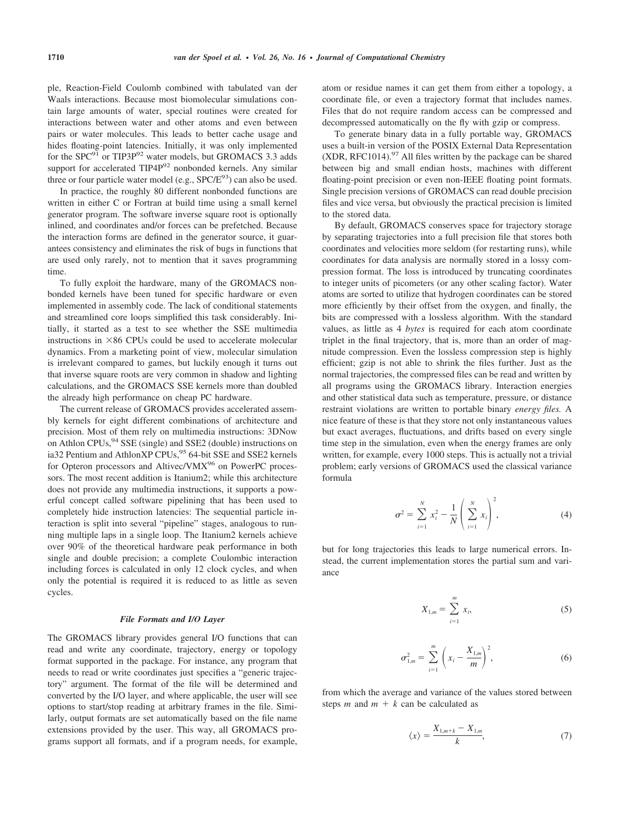ple, Reaction-Field Coulomb combined with tabulated van der Waals interactions. Because most biomolecular simulations contain large amounts of water, special routines were created for interactions between water and other atoms and even between pairs or water molecules. This leads to better cache usage and hides floating-point latencies. Initially, it was only implemented for the SPC $91$  or TIP3P $92$  water models, but GROMACS 3.3 adds support for accelerated TIP4P<sup>92</sup> nonbonded kernels. Any similar three or four particle water model (e.g.,  $SPC/E<sup>93</sup>$ ) can also be used.

In practice, the roughly 80 different nonbonded functions are written in either C or Fortran at build time using a small kernel generator program. The software inverse square root is optionally inlined, and coordinates and/or forces can be prefetched. Because the interaction forms are defined in the generator source, it guarantees consistency and eliminates the risk of bugs in functions that are used only rarely, not to mention that it saves programming time.

To fully exploit the hardware, many of the GROMACS nonbonded kernels have been tuned for specific hardware or even implemented in assembly code. The lack of conditional statements and streamlined core loops simplified this task considerably. Initially, it started as a test to see whether the SSE multimedia instructions in  $\times 86$  CPUs could be used to accelerate molecular dynamics. From a marketing point of view, molecular simulation is irrelevant compared to games, but luckily enough it turns out that inverse square roots are very common in shadow and lighting calculations, and the GROMACS SSE kernels more than doubled the already high performance on cheap PC hardware.

The current release of GROMACS provides accelerated assembly kernels for eight different combinations of architecture and precision. Most of them rely on multimedia instructions: 3DNow on Athlon CPUs,<sup>94</sup> SSE (single) and SSE2 (double) instructions on ia32 Pentium and AthlonXP CPUs,<sup>95</sup> 64-bit SSE and SSE2 kernels for Opteron processors and Altivec/VMX<sup>96</sup> on PowerPC processors. The most recent addition is Itanium2; while this architecture does not provide any multimedia instructions, it supports a powerful concept called software pipelining that has been used to completely hide instruction latencies: The sequential particle interaction is split into several "pipeline" stages, analogous to running multiple laps in a single loop. The Itanium2 kernels achieve over 90% of the theoretical hardware peak performance in both single and double precision; a complete Coulombic interaction including forces is calculated in only 12 clock cycles, and when only the potential is required it is reduced to as little as seven cycles.

#### *File Formats and I/O Layer*

The GROMACS library provides general I/O functions that can read and write any coordinate, trajectory, energy or topology format supported in the package. For instance, any program that needs to read or write coordinates just specifies a "generic trajectory" argument. The format of the file will be determined and converted by the I/O layer, and where applicable, the user will see options to start/stop reading at arbitrary frames in the file. Similarly, output formats are set automatically based on the file name extensions provided by the user. This way, all GROMACS programs support all formats, and if a program needs, for example, atom or residue names it can get them from either a topology, a coordinate file, or even a trajectory format that includes names. Files that do not require random access can be compressed and decompressed automatically on the fly with gzip or compress.

To generate binary data in a fully portable way, GROMACS uses a built-in version of the POSIX External Data Representation  $(XDR, RFC1014).<sup>97</sup>$  All files written by the package can be shared between big and small endian hosts, machines with different floating-point precision or even non-IEEE floating point formats. Single precision versions of GROMACS can read double precision files and vice versa, but obviously the practical precision is limited to the stored data.

By default, GROMACS conserves space for trajectory storage by separating trajectories into a full precision file that stores both coordinates and velocities more seldom (for restarting runs), while coordinates for data analysis are normally stored in a lossy compression format. The loss is introduced by truncating coordinates to integer units of picometers (or any other scaling factor). Water atoms are sorted to utilize that hydrogen coordinates can be stored more efficiently by their offset from the oxygen, and finally, the bits are compressed with a lossless algorithm. With the standard values, as little as 4 *bytes* is required for each atom coordinate triplet in the final trajectory, that is, more than an order of magnitude compression. Even the lossless compression step is highly efficient; gzip is not able to shrink the files further. Just as the normal trajectories, the compressed files can be read and written by all programs using the GROMACS library. Interaction energies and other statistical data such as temperature, pressure, or distance restraint violations are written to portable binary *energy files.* A nice feature of these is that they store not only instantaneous values but exact averages, fluctuations, and drifts based on every single time step in the simulation, even when the energy frames are only written, for example, every 1000 steps. This is actually not a trivial problem; early versions of GROMACS used the classical variance formula

$$
\sigma^2 = \sum_{i=1}^N x_i^2 - \frac{1}{N} \left( \sum_{i=1}^N x_i \right)^2, \tag{4}
$$

but for long trajectories this leads to large numerical errors. Instead, the current implementation stores the partial sum and variance

$$
X_{1,m} = \sum_{i=1}^{m} x_i,
$$
 (5)

$$
\sigma_{1,m}^2 = \sum_{i=1}^m \left( x_i - \frac{X_{1,m}}{m} \right)^2, \tag{6}
$$

from which the average and variance of the values stored between steps  $m$  and  $m + k$  can be calculated as

$$
\langle x \rangle = \frac{X_{1,m+k} - X_{1,m}}{k},\tag{7}
$$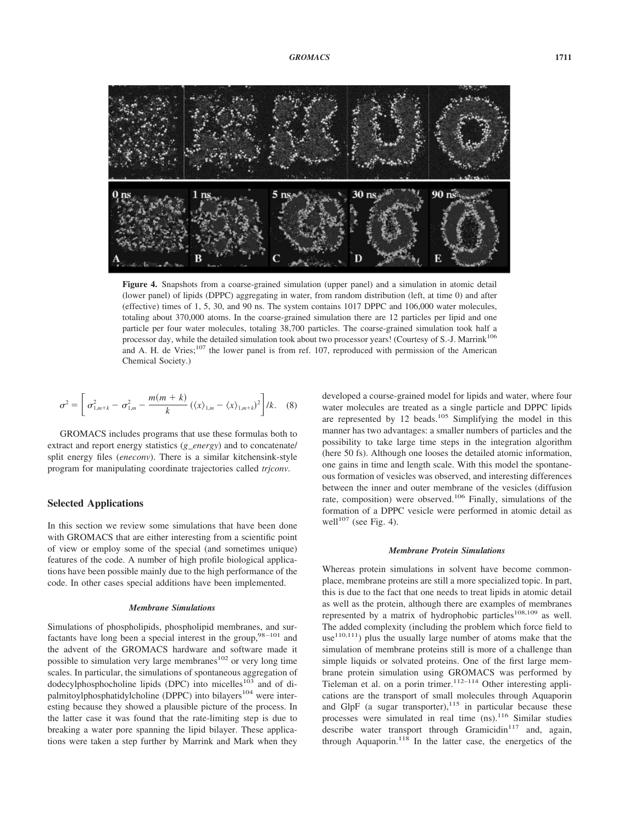

**Figure 4.** Snapshots from a coarse-grained simulation (upper panel) and a simulation in atomic detail (lower panel) of lipids (DPPC) aggregating in water, from random distribution (left, at time 0) and after (effective) times of 1, 5, 30, and 90 ns. The system contains 1017 DPPC and 106,000 water molecules, totaling about 370,000 atoms. In the coarse-grained simulation there are 12 particles per lipid and one particle per four water molecules, totaling 38,700 particles. The coarse-grained simulation took half a processor day, while the detailed simulation took about two processor years! (Courtesy of S.-J. Marrink106 and A. H. de Vries;<sup>107</sup> the lower panel is from ref. 107, reproduced with permission of the American Chemical Society.)

$$
\sigma^{2} = \left[\sigma_{1,m+k}^{2} - \sigma_{1,m}^{2} - \frac{m(m+k)}{k}(\langle x \rangle_{1,m} - \langle x \rangle_{1,m+k})^{2}\right] / k. \quad (8)
$$

GROMACS includes programs that use these formulas both to extract and report energy statistics (*g\_energy*) and to concatenate/ split energy files (*eneconv*). There is a similar kitchensink-style program for manipulating coordinate trajectories called *trjconv.*

## **Selected Applications**

In this section we review some simulations that have been done with GROMACS that are either interesting from a scientific point of view or employ some of the special (and sometimes unique) features of the code. A number of high profile biological applications have been possible mainly due to the high performance of the code. In other cases special additions have been implemented.

#### *Membrane Simulations*

Simulations of phospholipids, phospholipid membranes, and surfactants have long been a special interest in the group,  $98-101$  and the advent of the GROMACS hardware and software made it possible to simulation very large membranes<sup>102</sup> or very long time scales. In particular, the simulations of spontaneous aggregation of dodecylphosphocholine lipids (DPC) into micelles<sup>103</sup> and of dipalmitoylphosphatidylcholine (DPPC) into bilayers<sup>104</sup> were interesting because they showed a plausible picture of the process. In the latter case it was found that the rate-limiting step is due to breaking a water pore spanning the lipid bilayer. These applications were taken a step further by Marrink and Mark when they developed a course-grained model for lipids and water, where four water molecules are treated as a single particle and DPPC lipids are represented by 12 beads.<sup>105</sup> Simplifying the model in this manner has two advantages: a smaller numbers of particles and the possibility to take large time steps in the integration algorithm (here 50 fs). Although one looses the detailed atomic information, one gains in time and length scale. With this model the spontaneous formation of vesicles was observed, and interesting differences between the inner and outer membrane of the vesicles (diffusion rate, composition) were observed.106 Finally, simulations of the formation of a DPPC vesicle were performed in atomic detail as well<sup>107</sup> (see Fig. 4).

### *Membrane Protein Simulations*

Whereas protein simulations in solvent have become commonplace, membrane proteins are still a more specialized topic. In part, this is due to the fact that one needs to treat lipids in atomic detail as well as the protein, although there are examples of membranes represented by a matrix of hydrophobic particles<sup>108,109</sup> as well. The added complexity (including the problem which force field to use<sup>110,111</sup>) plus the usually large number of atoms make that the simulation of membrane proteins still is more of a challenge than simple liquids or solvated proteins. One of the first large membrane protein simulation using GROMACS was performed by Tieleman et al. on a porin trimer.<sup>112–114</sup> Other interesting applications are the transport of small molecules through Aquaporin and GlpF (a sugar transporter),<sup>115</sup> in particular because these processes were simulated in real time (ns).<sup>116</sup> Similar studies describe water transport through Gramicidin<sup>117</sup> and, again, through Aquaporin.118 In the latter case, the energetics of the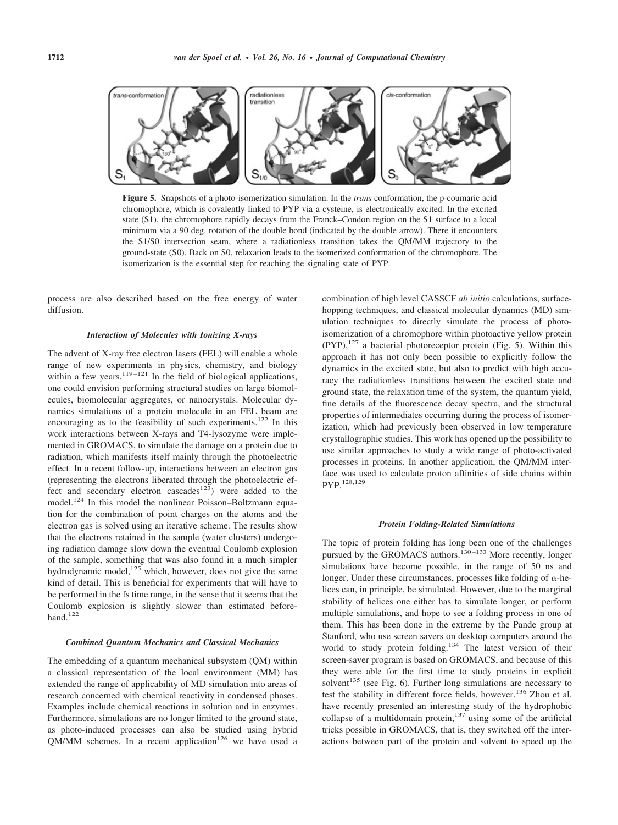

**Figure 5.** Snapshots of a photo-isomerization simulation. In the *trans* conformation, the p-coumaric acid chromophore, which is covalently linked to PYP via a cysteine, is electronically excited. In the excited state (S1), the chromophore rapidly decays from the Franck–Condon region on the S1 surface to a local minimum via a 90 deg. rotation of the double bond (indicated by the double arrow). There it encounters the S1/S0 intersection seam, where a radiationless transition takes the QM/MM trajectory to the ground-state (S0). Back on S0, relaxation leads to the isomerized conformation of the chromophore. The isomerization is the essential step for reaching the signaling state of PYP.

process are also described based on the free energy of water diffusion.

#### *Interaction of Molecules with Ionizing X-rays*

The advent of X-ray free electron lasers (FEL) will enable a whole range of new experiments in physics, chemistry, and biology within a few years.<sup>119-121</sup> In the field of biological applications, one could envision performing structural studies on large biomolecules, biomolecular aggregates, or nanocrystals. Molecular dynamics simulations of a protein molecule in an FEL beam are encouraging as to the feasibility of such experiments.<sup>122</sup> In this work interactions between X-rays and T4-lysozyme were implemented in GROMACS, to simulate the damage on a protein due to radiation, which manifests itself mainly through the photoelectric effect. In a recent follow-up, interactions between an electron gas (representing the electrons liberated through the photoelectric effect and secondary electron cascades<sup>123</sup>) were added to the model.<sup>124</sup> In this model the nonlinear Poisson–Boltzmann equation for the combination of point charges on the atoms and the electron gas is solved using an iterative scheme. The results show that the electrons retained in the sample (water clusters) undergoing radiation damage slow down the eventual Coulomb explosion of the sample, something that was also found in a much simpler hydrodynamic model, $125$  which, however, does not give the same kind of detail. This is beneficial for experiments that will have to be performed in the fs time range, in the sense that it seems that the Coulomb explosion is slightly slower than estimated beforehand.<sup>122</sup>

#### *Combined Quantum Mechanics and Classical Mechanics*

The embedding of a quantum mechanical subsystem (QM) within a classical representation of the local environment (MM) has extended the range of applicability of MD simulation into areas of research concerned with chemical reactivity in condensed phases. Examples include chemical reactions in solution and in enzymes. Furthermore, simulations are no longer limited to the ground state, as photo-induced processes can also be studied using hybrid  $QM/MM$  schemes. In a recent application<sup>126</sup> we have used a combination of high level CASSCF *ab initio* calculations, surfacehopping techniques, and classical molecular dynamics (MD) simulation techniques to directly simulate the process of photoisomerization of a chromophore within photoactive yellow protein  $(PYP)$ ,<sup>127</sup> a bacterial photoreceptor protein (Fig. 5). Within this approach it has not only been possible to explicitly follow the dynamics in the excited state, but also to predict with high accuracy the radiationless transitions between the excited state and ground state, the relaxation time of the system, the quantum yield, fine details of the fluorescence decay spectra, and the structural properties of intermediates occurring during the process of isomerization, which had previously been observed in low temperature crystallographic studies. This work has opened up the possibility to use similar approaches to study a wide range of photo-activated processes in proteins. In another application, the QM/MM interface was used to calculate proton affinities of side chains within PYP.128,129

#### *Protein Folding-Related Simulations*

The topic of protein folding has long been one of the challenges pursued by the GROMACS authors.<sup>130-133</sup> More recently, longer simulations have become possible, in the range of 50 ns and longer. Under these circumstances, processes like folding of  $\alpha$ -helices can, in principle, be simulated. However, due to the marginal stability of helices one either has to simulate longer, or perform multiple simulations, and hope to see a folding process in one of them. This has been done in the extreme by the Pande group at Stanford, who use screen savers on desktop computers around the world to study protein folding.<sup>134</sup> The latest version of their screen-saver program is based on GROMACS, and because of this they were able for the first time to study proteins in explicit solvent $135$  (see Fig. 6). Further long simulations are necessary to test the stability in different force fields, however.<sup>136</sup> Zhou et al. have recently presented an interesting study of the hydrophobic collapse of a multidomain protein, $137$  using some of the artificial tricks possible in GROMACS, that is, they switched off the interactions between part of the protein and solvent to speed up the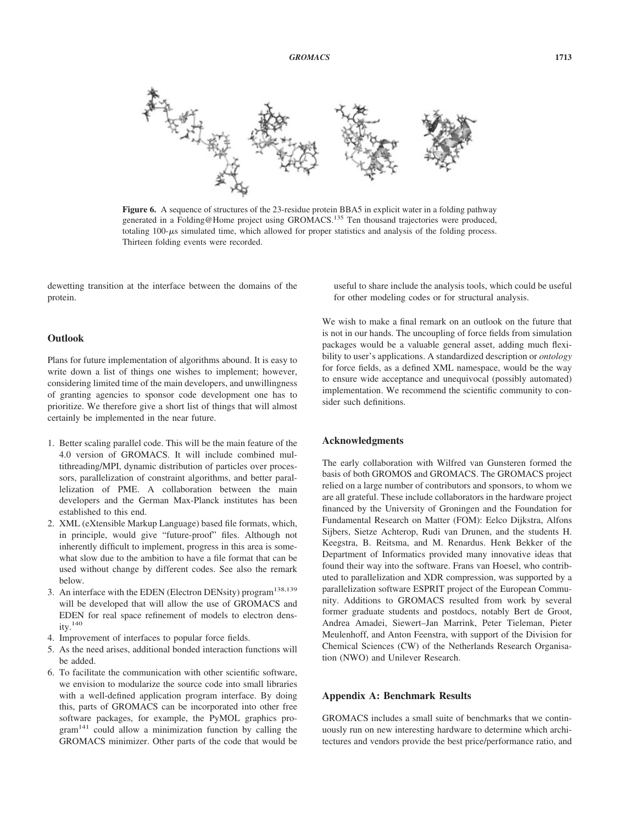

**Figure 6.** A sequence of structures of the 23-residue protein BBA5 in explicit water in a folding pathway generated in a Folding@Home project using GROMACS.<sup>135</sup> Ten thousand trajectories were produced, totaling  $100-\mu s$  simulated time, which allowed for proper statistics and analysis of the folding process. Thirteen folding events were recorded.

dewetting transition at the interface between the domains of the protein.

## **Outlook**

Plans for future implementation of algorithms abound. It is easy to write down a list of things one wishes to implement; however, considering limited time of the main developers, and unwillingness of granting agencies to sponsor code development one has to prioritize. We therefore give a short list of things that will almost certainly be implemented in the near future.

- 1. Better scaling parallel code. This will be the main feature of the 4.0 version of GROMACS. It will include combined multithreading/MPI, dynamic distribution of particles over processors, parallelization of constraint algorithms, and better parallelization of PME. A collaboration between the main developers and the German Max-Planck institutes has been established to this end.
- 2. XML (eXtensible Markup Language) based file formats, which, in principle, would give "future-proof" files. Although not inherently difficult to implement, progress in this area is somewhat slow due to the ambition to have a file format that can be used without change by different codes. See also the remark below.
- 3. An interface with the EDEN (Electron DENsity) program<sup>138,139</sup> will be developed that will allow the use of GROMACS and EDEN for real space refinement of models to electron density.140
- 4. Improvement of interfaces to popular force fields.
- 5. As the need arises, additional bonded interaction functions will be added.
- 6. To facilitate the communication with other scientific software, we envision to modularize the source code into small libraries with a well-defined application program interface. By doing this, parts of GROMACS can be incorporated into other free software packages, for example, the PyMOL graphics pro $gram<sup>141</sup>$  could allow a minimization function by calling the GROMACS minimizer. Other parts of the code that would be

useful to share include the analysis tools, which could be useful for other modeling codes or for structural analysis.

We wish to make a final remark on an outlook on the future that is not in our hands. The uncoupling of force fields from simulation packages would be a valuable general asset, adding much flexibility to user's applications. A standardized description or *ontology* for force fields, as a defined XML namespace, would be the way to ensure wide acceptance and unequivocal (possibly automated) implementation. We recommend the scientific community to consider such definitions.

## **Acknowledgments**

The early collaboration with Wilfred van Gunsteren formed the basis of both GROMOS and GROMACS. The GROMACS project relied on a large number of contributors and sponsors, to whom we are all grateful. These include collaborators in the hardware project financed by the University of Groningen and the Foundation for Fundamental Research on Matter (FOM): Eelco Dijkstra, Alfons Sijbers, Sietze Achterop, Rudi van Drunen, and the students H. Keegstra, B. Reitsma, and M. Renardus. Henk Bekker of the Department of Informatics provided many innovative ideas that found their way into the software. Frans van Hoesel, who contributed to parallelization and XDR compression, was supported by a parallelization software ESPRIT project of the European Community. Additions to GROMACS resulted from work by several former graduate students and postdocs, notably Bert de Groot, Andrea Amadei, Siewert–Jan Marrink, Peter Tieleman, Pieter Meulenhoff, and Anton Feenstra, with support of the Division for Chemical Sciences (CW) of the Netherlands Research Organisation (NWO) and Unilever Research.

#### **Appendix A: Benchmark Results**

GROMACS includes a small suite of benchmarks that we continuously run on new interesting hardware to determine which architectures and vendors provide the best price/performance ratio, and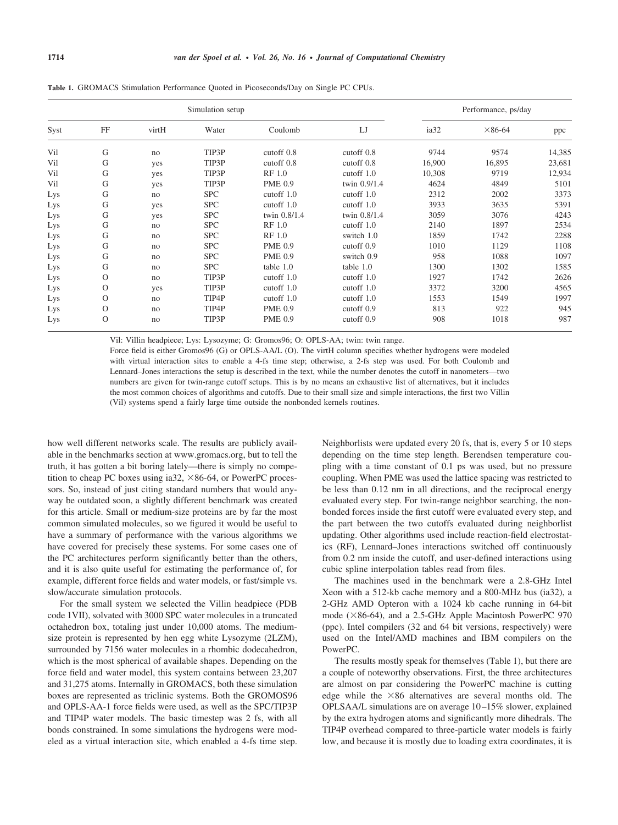| Simulation setup |               |       |            |                |              | Performance, ps/day |                |        |
|------------------|---------------|-------|------------|----------------|--------------|---------------------|----------------|--------|
| Syst             | FF            | virtH | Water      | Coulomb        | LJ           | ia <sub>32</sub>    | $\times$ 86-64 | ppc    |
| Vil              | G             | no    | TIP3P      | cutoff $0.8$   | cutoff 0.8   | 9744                | 9574           | 14,385 |
| Vil              | G             | yes   | TIP3P      | cutoff 0.8     | cutoff 0.8   | 16,900              | 16,895         | 23,681 |
| Vil              | G             | yes   | TIP3P      | RF 1.0         | cutoff 1.0   | 10,308              | 9719           | 12,934 |
| Vil              | G             | yes   | TIP3P      | <b>PME 0.9</b> | twin 0.9/1.4 | 4624                | 4849           | 5101   |
| Lys              | G             | no    | <b>SPC</b> | cutoff 1.0     | cutoff 1.0   | 2312                | 2002           | 3373   |
| Lys              | G             | yes   | <b>SPC</b> | cutoff 1.0     | cutoff $1.0$ | 3933                | 3635           | 5391   |
| Lys              | G             | yes   | <b>SPC</b> | twin 0.8/1.4   | twin 0.8/1.4 | 3059                | 3076           | 4243   |
| Lys              | G             | no    | <b>SPC</b> | RF 1.0         | cutoff 1.0   | 2140                | 1897           | 2534   |
| Lys              | G             | no    | <b>SPC</b> | RF 1.0         | switch 1.0   | 1859                | 1742           | 2288   |
| Lys              | G             | no    | <b>SPC</b> | <b>PME 0.9</b> | cutoff 0.9   | 1010                | 1129           | 1108   |
| Lys              | G             | no    | <b>SPC</b> | <b>PME 0.9</b> | switch 0.9   | 958                 | 1088           | 1097   |
| Lys              | G             | no    | <b>SPC</b> | table 1.0      | table 1.0    | 1300                | 1302           | 1585   |
| Lys              | $\mathcal{O}$ | no    | TIP3P      | cutoff 1.0     | cutoff 1.0   | 1927                | 1742           | 2626   |
| Lys              | $\Omega$      | yes   | TIP3P      | cutoff 1.0     | cutoff 1.0   | 3372                | 3200           | 4565   |
| Lys              | $\mathcal{O}$ | no    | TIP4P      | cutoff 1.0     | cutoff 1.0   | 1553                | 1549           | 1997   |
| Lys              | $\mathbf{O}$  | no    | TIP4P      | <b>PME 0.9</b> | cutoff 0.9   | 813                 | 922            | 945    |
| Lys              | $\mathcal{O}$ | no    | TIP3P      | <b>PME 0.9</b> | cutoff 0.9   | 908                 | 1018           | 987    |

**Table 1.** GROMACS Stimulation Performance Quoted in Picoseconds/Day on Single PC CPUs.

Vil: Villin headpiece; Lys: Lysozyme; G: Gromos96; O: OPLS-AA; twin: twin range.

Force field is either Gromos96 (G) or OPLS-AA/L (O). The virtH column specifies whether hydrogens were modeled with virtual interaction sites to enable a 4-fs time step; otherwise, a 2-fs step was used. For both Coulomb and Lennard–Jones interactions the setup is described in the text, while the number denotes the cutoff in nanometers—two numbers are given for twin-range cutoff setups. This is by no means an exhaustive list of alternatives, but it includes the most common choices of algorithms and cutoffs. Due to their small size and simple interactions, the first two Villin (Vil) systems spend a fairly large time outside the nonbonded kernels routines.

how well different networks scale. The results are publicly available in the benchmarks section at www.gromacs.org, but to tell the truth, it has gotten a bit boring lately—there is simply no competition to cheap PC boxes using ia32,  $\times 86-64$ , or PowerPC processors. So, instead of just citing standard numbers that would anyway be outdated soon, a slightly different benchmark was created for this article. Small or medium-size proteins are by far the most common simulated molecules, so we figured it would be useful to have a summary of performance with the various algorithms we have covered for precisely these systems. For some cases one of the PC architectures perform significantly better than the others, and it is also quite useful for estimating the performance of, for example, different force fields and water models, or fast/simple vs. slow/accurate simulation protocols.

For the small system we selected the Villin headpiece (PDB code 1VII), solvated with 3000 SPC water molecules in a truncated octahedron box, totaling just under 10,000 atoms. The mediumsize protein is represented by hen egg white Lysozyme (2LZM), surrounded by 7156 water molecules in a rhombic dodecahedron, which is the most spherical of available shapes. Depending on the force field and water model, this system contains between 23,207 and 31,275 atoms. Internally in GROMACS, both these simulation boxes are represented as triclinic systems. Both the GROMOS96 and OPLS-AA-1 force fields were used, as well as the SPC/TIP3P and TIP4P water models. The basic timestep was 2 fs, with all bonds constrained. In some simulations the hydrogens were modeled as a virtual interaction site, which enabled a 4-fs time step. Neighborlists were updated every 20 fs, that is, every 5 or 10 steps depending on the time step length. Berendsen temperature coupling with a time constant of 0.1 ps was used, but no pressure coupling. When PME was used the lattice spacing was restricted to be less than 0.12 nm in all directions, and the reciprocal energy evaluated every step. For twin-range neighbor searching, the nonbonded forces inside the first cutoff were evaluated every step, and the part between the two cutoffs evaluated during neighborlist updating. Other algorithms used include reaction-field electrostatics (RF), Lennard–Jones interactions switched off continuously from 0.2 nm inside the cutoff, and user-defined interactions using cubic spline interpolation tables read from files.

The machines used in the benchmark were a 2.8-GHz Intel Xeon with a 512-kb cache memory and a 800-MHz bus (ia32), a 2-GHz AMD Opteron with a 1024 kb cache running in 64-bit mode  $(\times 86-64)$ , and a 2.5-GHz Apple Macintosh PowerPC 970 (ppc). Intel compilers (32 and 64 bit versions, respectively) were used on the Intel/AMD machines and IBM compilers on the PowerPC.

The results mostly speak for themselves (Table 1), but there are a couple of noteworthy observations. First, the three architectures are almost on par considering the PowerPC machine is cutting edge while the  $\times 86$  alternatives are several months old. The OPLSAA/L simulations are on average 10 –15% slower, explained by the extra hydrogen atoms and significantly more dihedrals. The TIP4P overhead compared to three-particle water models is fairly low, and because it is mostly due to loading extra coordinates, it is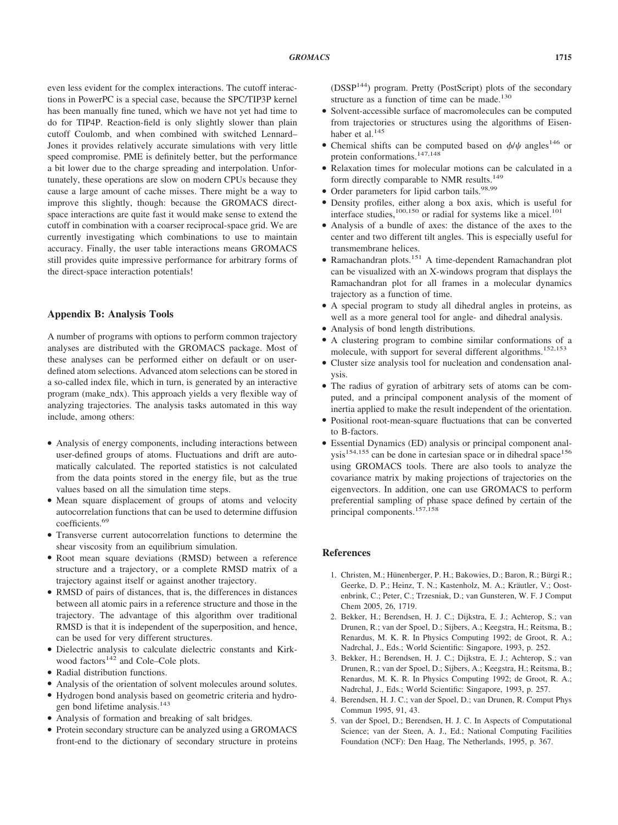even less evident for the complex interactions. The cutoff interactions in PowerPC is a special case, because the SPC/TIP3P kernel has been manually fine tuned, which we have not yet had time to do for TIP4P. Reaction-field is only slightly slower than plain cutoff Coulomb, and when combined with switched Lennard– Jones it provides relatively accurate simulations with very little speed compromise. PME is definitely better, but the performance a bit lower due to the charge spreading and interpolation. Unfortunately, these operations are slow on modern CPUs because they cause a large amount of cache misses. There might be a way to improve this slightly, though: because the GROMACS directspace interactions are quite fast it would make sense to extend the cutoff in combination with a coarser reciprocal-space grid. We are currently investigating which combinations to use to maintain accuracy. Finally, the user table interactions means GROMACS still provides quite impressive performance for arbitrary forms of the direct-space interaction potentials!

## **Appendix B: Analysis Tools**

A number of programs with options to perform common trajectory analyses are distributed with the GROMACS package. Most of these analyses can be performed either on default or on userdefined atom selections. Advanced atom selections can be stored in a so-called index file, which in turn, is generated by an interactive program (make\_ndx). This approach yields a very flexible way of analyzing trajectories. The analysis tasks automated in this way include, among others:

- Analysis of energy components, including interactions between user-defined groups of atoms. Fluctuations and drift are automatically calculated. The reported statistics is not calculated from the data points stored in the energy file, but as the true values based on all the simulation time steps.
- Mean square displacement of groups of atoms and velocity autocorrelation functions that can be used to determine diffusion coefficients.69
- Transverse current autocorrelation functions to determine the shear viscosity from an equilibrium simulation.
- Root mean square deviations (RMSD) between a reference structure and a trajectory, or a complete RMSD matrix of a trajectory against itself or against another trajectory.
- RMSD of pairs of distances, that is, the differences in distances between all atomic pairs in a reference structure and those in the trajectory. The advantage of this algorithm over traditional RMSD is that it is independent of the superposition, and hence, can be used for very different structures.
- Dielectric analysis to calculate dielectric constants and Kirkwood factors<sup>142</sup> and Cole–Cole plots.
- Radial distribution functions.
- Analysis of the orientation of solvent molecules around solutes.
- Hydrogen bond analysis based on geometric criteria and hydrogen bond lifetime analysis.143
- Analysis of formation and breaking of salt bridges.
- Protein secondary structure can be analyzed using a GROMACS front-end to the dictionary of secondary structure in proteins

 $(DSSP<sup>144</sup>)$  program. Pretty (PostScript) plots of the secondary structure as a function of time can be made. $130$ 

- Solvent-accessible surface of macromolecules can be computed from trajectories or structures using the algorithms of Eisenhaber et al.<sup>145</sup>
- Chemical shifts can be computed based on  $\phi/\psi$  angles<sup>146</sup> or protein conformations.147,148
- Relaxation times for molecular motions can be calculated in a form directly comparable to NMR results.<sup>149</sup>
- Order parameters for lipid carbon tails.<sup>98,99</sup>
- Density profiles, either along a box axis, which is useful for interface studies,<sup>100,150</sup> or radial for systems like a micel.<sup>101</sup>
- Analysis of a bundle of axes: the distance of the axes to the center and two different tilt angles. This is especially useful for transmembrane helices.
- Ramachandran plots.151 A time-dependent Ramachandran plot can be visualized with an X-windows program that displays the Ramachandran plot for all frames in a molecular dynamics trajectory as a function of time.
- A special program to study all dihedral angles in proteins, as well as a more general tool for angle- and dihedral analysis.
- Analysis of bond length distributions.
- A clustering program to combine similar conformations of a molecule, with support for several different algorithms.<sup>152,153</sup>
- Cluster size analysis tool for nucleation and condensation analysis.
- The radius of gyration of arbitrary sets of atoms can be computed, and a principal component analysis of the moment of inertia applied to make the result independent of the orientation.
- Positional root-mean-square fluctuations that can be converted to B-factors.
- Essential Dynamics (ED) analysis or principal component analysis<sup>154,155</sup> can be done in cartesian space or in dihedral space<sup>156</sup> using GROMACS tools. There are also tools to analyze the covariance matrix by making projections of trajectories on the eigenvectors. In addition, one can use GROMACS to perform preferential sampling of phase space defined by certain of the principal components.157,158

## **References**

- 1. Christen, M.; Hünenberger, P. H.; Bakowies, D.; Baron, R.; Bürgi R.; Geerke, D. P.; Heinz, T. N.; Kastenholz, M. A.; Kräutler, V.; Oostenbrink, C.; Peter, C.; Trzesniak, D.; van Gunsteren, W. F. J Comput Chem 2005, 26, 1719.
- 2. Bekker, H.; Berendsen, H. J. C.; Dijkstra, E. J.; Achterop, S.; van Drunen, R.; van der Spoel, D.; Sijbers, A.; Keegstra, H.; Reitsma, B.; Renardus, M. K. R. In Physics Computing 1992; de Groot, R. A.; Nadrchal, J., Eds.; World Scientific: Singapore, 1993, p. 252.
- 3. Bekker, H.; Berendsen, H. J. C.; Dijkstra, E. J.; Achterop, S.; van Drunen, R.; van der Spoel, D.; Sijbers, A.; Keegstra, H.; Reitsma, B.; Renardus, M. K. R. In Physics Computing 1992; de Groot, R. A.; Nadrchal, J., Eds.; World Scientific: Singapore, 1993, p. 257.
- 4. Berendsen, H. J. C.; van der Spoel, D.; van Drunen, R. Comput Phys Commun 1995, 91, 43.
- 5. van der Spoel, D.; Berendsen, H. J. C. In Aspects of Computational Science; van der Steen, A. J., Ed.; National Computing Facilities Foundation (NCF): Den Haag, The Netherlands, 1995, p. 367.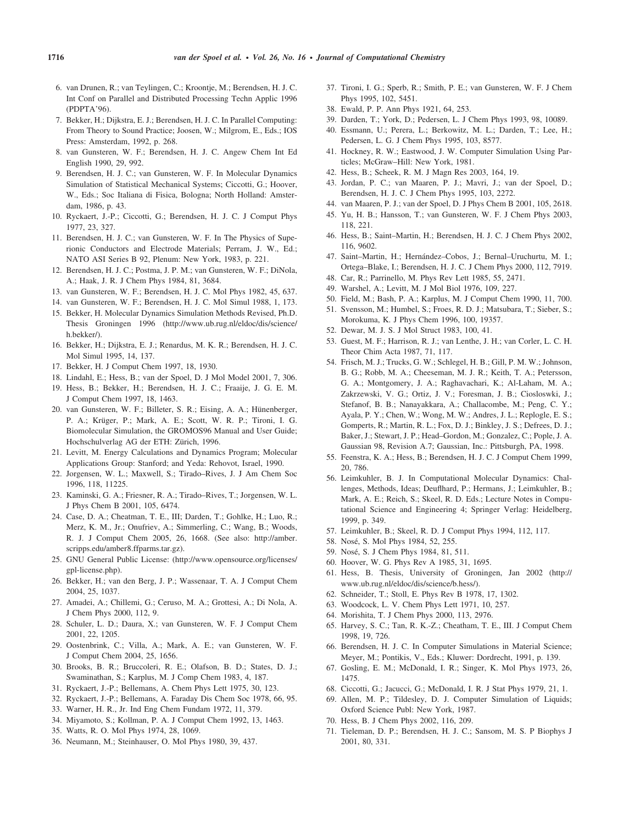- 6. van Drunen, R.; van Teylingen, C.; Kroontje, M.; Berendsen, H. J. C. Int Conf on Parallel and Distributed Processing Techn Applic 1996 (PDPTA'96).
- 7. Bekker, H.; Dijkstra, E. J.; Berendsen, H. J. C. In Parallel Computing: From Theory to Sound Practice; Joosen, W.; Milgrom, E., Eds.; IOS Press: Amsterdam, 1992, p. 268.
- 8. van Gunsteren, W. F.; Berendsen, H. J. C. Angew Chem Int Ed English 1990, 29, 992.
- 9. Berendsen, H. J. C.; van Gunsteren, W. F. In Molecular Dynamics Simulation of Statistical Mechanical Systems; Ciccotti, G.; Hoover, W., Eds.; Soc Italiana di Fisica, Bologna; North Holland: Amsterdam, 1986, p. 43.
- 10. Ryckaert, J.-P.; Ciccotti, G.; Berendsen, H. J. C. J Comput Phys 1977, 23, 327.
- 11. Berendsen, H. J. C.; van Gunsteren, W. F. In The Physics of Superionic Conductors and Electrode Materials; Perram, J. W., Ed.; NATO ASI Series B 92, Plenum: New York, 1983, p. 221.
- 12. Berendsen, H. J. C.; Postma, J. P. M.; van Gunsteren, W. F.; DiNola, A.; Haak, J. R. J Chem Phys 1984, 81, 3684.
- 13. van Gunsteren, W. F.; Berendsen, H. J. C. Mol Phys 1982, 45, 637.
- 14. van Gunsteren, W. F.; Berendsen, H. J. C. Mol Simul 1988, 1, 173.
- 15. Bekker, H. Molecular Dynamics Simulation Methods Revised, Ph.D. Thesis Groningen 1996 (http://www.ub.rug.nl/eldoc/dis/science/ h.bekker/).
- 16. Bekker, H.; Dijkstra, E. J.; Renardus, M. K. R.; Berendsen, H. J. C. Mol Simul 1995, 14, 137.
- 17. Bekker, H. J Comput Chem 1997, 18, 1930.
- 18. Lindahl, E.; Hess, B.; van der Spoel, D. J Mol Model 2001, 7, 306.
- 19. Hess, B.; Bekker, H.; Berendsen, H. J. C.; Fraaije, J. G. E. M. J Comput Chem 1997, 18, 1463.
- 20. van Gunsteren, W. F.; Billeter, S. R.; Eising, A. A.; Hünenberger, P. A.; Krüger, P.; Mark, A. E.; Scott, W. R. P.; Tironi, I. G. Biomolecular Simulation, the GROMOS96 Manual and User Guide; Hochschulverlag AG der ETH: Zürich, 1996.
- 21. Levitt, M. Energy Calculations and Dynamics Program; Molecular Applications Group: Stanford; and Yeda: Rehovot, Israel, 1990.
- 22. Jorgensen, W. L.; Maxwell, S.; Tirado–Rives, J. J Am Chem Soc 1996, 118, 11225.
- 23. Kaminski, G. A.; Friesner, R. A.; Tirado–Rives, T.; Jorgensen, W. L. J Phys Chem B 2001, 105, 6474.
- 24. Case, D. A.; Cheatman, T. E., III; Darden, T.; Gohlke, H.; Luo, R.; Merz, K. M., Jr.; Onufriev, A.; Simmerling, C.; Wang, B.; Woods, R. J. J Comput Chem 2005, 26, 1668. (See also: http://amber. scripps.edu/amber8.ffparms.tar.gz).
- 25. GNU General Public License: (http://www.opensource.org/licenses/ gpl-license.php).
- 26. Bekker, H.; van den Berg, J. P.; Wassenaar, T. A. J Comput Chem 2004, 25, 1037.
- 27. Amadei, A.; Chillemi, G.; Ceruso, M. A.; Grottesi, A.; Di Nola, A. J Chem Phys 2000, 112, 9.
- 28. Schuler, L. D.; Daura, X.; van Gunsteren, W. F. J Comput Chem 2001, 22, 1205.
- 29. Oostenbrink, C.; Villa, A.; Mark, A. E.; van Gunsteren, W. F. J Comput Chem 2004, 25, 1656.
- 30. Brooks, B. R.; Bruccoleri, R. E.; Olafson, B. D.; States, D. J.; Swaminathan, S.; Karplus, M. J Comp Chem 1983, 4, 187.
- 31. Ryckaert, J.-P.; Bellemans, A. Chem Phys Lett 1975, 30, 123.
- 32. Ryckaert, J.-P.; Bellemans, A. Faraday Dis Chem Soc 1978, 66, 95.
- 33. Warner, H. R., Jr. Ind Eng Chem Fundam 1972, 11, 379.
- 34. Miyamoto, S.; Kollman, P. A. J Comput Chem 1992, 13, 1463.
- 35. Watts, R. O. Mol Phys 1974, 28, 1069.
- 36. Neumann, M.; Steinhauser, O. Mol Phys 1980, 39, 437.
- 37. Tironi, I. G.; Sperb, R.; Smith, P. E.; van Gunsteren, W. F. J Chem Phys 1995, 102, 5451.
- 38. Ewald, P. P. Ann Phys 1921, 64, 253.
- 39. Darden, T.; York, D.; Pedersen, L. J Chem Phys 1993, 98, 10089.
- 40. Essmann, U.; Perera, L.; Berkowitz, M. L.; Darden, T.; Lee, H.; Pedersen, L. G. J Chem Phys 1995, 103, 8577.
- 41. Hockney, R. W.; Eastwood, J. W. Computer Simulation Using Particles; McGraw–Hill: New York, 1981.
- 42. Hess, B.; Scheek, R. M. J Magn Res 2003, 164, 19.
- 43. Jordan, P. C.; van Maaren, P. J.; Mavri, J.; van der Spoel, D.; Berendsen, H. J. C. J Chem Phys 1995, 103, 2272.
- 44. van Maaren, P. J.; van der Spoel, D. J Phys Chem B 2001, 105, 2618.
- 45. Yu, H. B.; Hansson, T.; van Gunsteren, W. F. J Chem Phys 2003, 118, 221.
- 46. Hess, B.; Saint–Martin, H.; Berendsen, H. J. C. J Chem Phys 2002, 116, 9602.
- 47. Saint-Martin, H.; Hernández-Cobos, J.; Bernal-Uruchurtu, M. I.; Ortega–Blake, I.; Berendsen, H. J. C. J Chem Phys 2000, 112, 7919.
- 48. Car, R.; Parrinello, M. Phys Rev Lett 1985, 55, 2471.
- 49. Warshel, A.; Levitt, M. J Mol Biol 1976, 109, 227.
- 50. Field, M.; Bash, P. A.; Karplus, M. J Comput Chem 1990, 11, 700.
- 51. Svensson, M.; Humbel, S.; Froes, R. D. J.; Matsubara, T.; Sieber, S.; Morokuma, K. J Phys Chem 1996, 100, 19357.
- 52. Dewar, M. J. S. J Mol Struct 1983, 100, 41.
- 53. Guest, M. F.; Harrison, R. J.; van Lenthe, J. H.; van Corler, L. C. H. Theor Chim Acta 1987, 71, 117.
- 54. Frisch, M. J.; Trucks, G. W.; Schlegel, H. B.; Gill, P. M. W.; Johnson, B. G.; Robb, M. A.; Cheeseman, M. J. R.; Keith, T. A.; Petersson, G. A.; Montgomery, J. A.; Raghavachari, K.; Al-Laham, M. A.; Zakrzewski, V. G.; Ortiz, J. V.; Foresman, J. B.; Ciosloswki, J.; Stefanof, B. B.; Nanayakkara, A.; Challacombe, M.; Peng, C. Y.; Ayala, P. Y.; Chen, W.; Wong, M. W.; Andres, J. L.; Replogle, E. S.; Gomperts, R.; Martin, R. L.; Fox, D. J.; Binkley, J. S.; Defrees, D. J.; Baker, J.; Stewart, J. P.; Head–Gordon, M.; Gonzalez, C.; Pople, J. A. Gaussian 98, Revision A.7; Gaussian, Inc.: Pittsburgh, PA, 1998.
- 55. Feenstra, K. A.; Hess, B.; Berendsen, H. J. C. J Comput Chem 1999, 20, 786.
- 56. Leimkuhler, B. J. In Computational Molecular Dynamics: Challenges, Methods, Ideas; Deuflhard, P.; Hermans, J.; Leimkuhler, B.; Mark, A. E.; Reich, S.; Skeel, R. D. Eds.; Lecture Notes in Computational Science and Engineering 4; Springer Verlag: Heidelberg, 1999, p. 349.
- 57. Leimkuhler, B.; Skeel, R. D. J Comput Phys 1994, 112, 117.
- 58. Nosé, S. Mol Phys 1984, 52, 255.
- 59. Nosé, S. J Chem Phys 1984, 81, 511.
- 60. Hoover, W. G. Phys Rev A 1985, 31, 1695.
- 61. Hess, B. Thesis, University of Groningen, Jan 2002 (http:// www.ub.rug.nl/eldoc/dis/science/b.hess/).
- 62. Schneider, T.; Stoll, E. Phys Rev B 1978, 17, 1302.
- 63. Woodcock, L. V. Chem Phys Lett 1971, 10, 257.
- 64. Morishita, T. J Chem Phys 2000, 113, 2976.
- 65. Harvey, S. C.; Tan, R. K.-Z.; Cheatham, T. E., III. J Comput Chem 1998, 19, 726.
- 66. Berendsen, H. J. C. In Computer Simulations in Material Science; Meyer, M.; Pontikis, V., Eds.; Kluwer: Dordrecht, 1991, p. 139.
- 67. Gosling, E. M.; McDonald, I. R.; Singer, K. Mol Phys 1973, 26, 1475.
- 68. Ciccotti, G.; Jacucci, G.; McDonald, I. R. J Stat Phys 1979, 21, 1.
- 69. Allen, M. P.; Tildesley, D. J. Computer Simulation of Liquids; Oxford Science Publ: New York, 1987.
- 70. Hess, B. J Chem Phys 2002, 116, 209.
- 71. Tieleman, D. P.; Berendsen, H. J. C.; Sansom, M. S. P Biophys J 2001, 80, 331.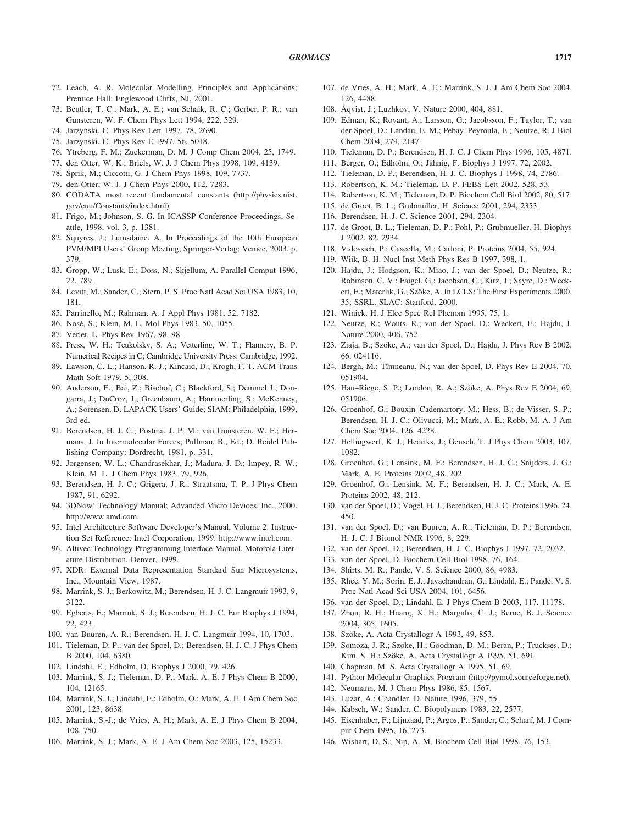- 72. Leach, A. R. Molecular Modelling, Principles and Applications; Prentice Hall: Englewood Cliffs, NJ, 2001.
- 73. Beutler, T. C.; Mark, A. E.; van Schaik, R. C.; Gerber, P. R.; van Gunsteren, W. F. Chem Phys Lett 1994, 222, 529.
- 74. Jarzynski, C. Phys Rev Lett 1997, 78, 2690.
- 75. Jarzynski, C. Phys Rev E 1997, 56, 5018.
- 76. Ytreberg, F. M.; Zuckerman, D. M. J Comp Chem 2004, 25, 1749.
- 77. den Otter, W. K.; Briels, W. J. J Chem Phys 1998, 109, 4139.
- 78. Sprik, M.; Ciccotti, G. J Chem Phys 1998, 109, 7737.
- 79. den Otter, W. J. J Chem Phys 2000, 112, 7283.
- 80. CODATA most recent fundamental constants (http://physics.nist. gov/cuu/Constants/index.html).
- 81. Frigo, M.; Johnson, S. G. In ICASSP Conference Proceedings, Seattle, 1998, vol. 3, p. 1381.
- 82. Squyres, J.; Lumsdaine, A. In Proceedings of the 10th European PVM/MPI Users' Group Meeting; Springer-Verlag: Venice, 2003, p. 379.
- 83. Gropp, W.; Lusk, E.; Doss, N.; Skjellum, A. Parallel Comput 1996, 22, 789.
- 84. Levitt, M.; Sander, C.; Stern, P. S. Proc Natl Acad Sci USA 1983, 10, 181.
- 85. Parrinello, M.; Rahman, A. J Appl Phys 1981, 52, 7182.
- 86. Nosé, S.; Klein, M. L. Mol Phys 1983, 50, 1055.
- 87. Verlet, L. Phys Rev 1967, 98, 98.
- 88. Press, W. H.; Teukolsky, S. A.; Vetterling, W. T.; Flannery, B. P. Numerical Recipes in C; Cambridge University Press: Cambridge, 1992.
- 89. Lawson, C. L.; Hanson, R. J.; Kincaid, D.; Krogh, F. T. ACM Trans Math Soft 1979, 5, 308.
- 90. Anderson, E.; Bai, Z.; Bischof, C.; Blackford, S.; Demmel J.; Dongarra, J.; DuCroz, J.; Greenbaum, A.; Hammerling, S.; McKenney, A.; Sorensen, D. LAPACK Users' Guide; SIAM: Philadelphia, 1999, 3rd ed.
- 91. Berendsen, H. J. C.; Postma, J. P. M.; van Gunsteren, W. F.; Hermans, J. In Intermolecular Forces; Pullman, B., Ed.; D. Reidel Publishing Company: Dordrecht, 1981, p. 331.
- 92. Jorgensen, W. L.; Chandrasekhar, J.; Madura, J. D.; Impey, R. W.; Klein, M. L. J Chem Phys 1983, 79, 926.
- 93. Berendsen, H. J. C.; Grigera, J. R.; Straatsma, T. P. J Phys Chem 1987, 91, 6292.
- 94. 3DNow! Technology Manual; Advanced Micro Devices, Inc., 2000. http://www.amd.com.
- 95. Intel Architecture Software Developer's Manual, Volume 2: Instruction Set Reference: Intel Corporation, 1999. http://www.intel.com.
- 96. Altivec Technology Programming Interface Manual, Motorola Literature Distribution, Denver, 1999.
- 97. XDR: External Data Representation Standard Sun Microsystems, Inc., Mountain View, 1987.
- 98. Marrink, S. J.; Berkowitz, M.; Berendsen, H. J. C. Langmuir 1993, 9, 3122.
- 99. Egberts, E.; Marrink, S. J.; Berendsen, H. J. C. Eur Biophys J 1994, 22, 423.
- 100. van Buuren, A. R.; Berendsen, H. J. C. Langmuir 1994, 10, 1703.
- 101. Tieleman, D. P.; van der Spoel, D.; Berendsen, H. J. C. J Phys Chem B 2000, 104, 6380.
- 102. Lindahl, E.; Edholm, O. Biophys J 2000, 79, 426.
- 103. Marrink, S. J.; Tieleman, D. P.; Mark, A. E. J Phys Chem B 2000, 104, 12165.
- 104. Marrink, S. J.; Lindahl, E.; Edholm, O.; Mark, A. E. J Am Chem Soc 2001, 123, 8638.
- 105. Marrink, S.-J.; de Vries, A. H.; Mark, A. E. J Phys Chem B 2004, 108, 750.
- 106. Marrink, S. J.; Mark, A. E. J Am Chem Soc 2003, 125, 15233.
- 107. de Vries, A. H.; Mark, A. E.; Marrink, S. J. J Am Chem Soc 2004, 126, 4488.
- 108. Åqvist, J.; Luzhkov, V. Nature 2000, 404, 881.
- 109. Edman, K.; Royant, A.; Larsson, G.; Jacobsson, F.; Taylor, T.; van der Spoel, D.; Landau, E. M.; Pebay–Peyroula, E.; Neutze, R. J Biol Chem 2004, 279, 2147.
- 110. Tieleman, D. P.; Berendsen, H. J. C. J Chem Phys 1996, 105, 4871.
- 111. Berger, O.; Edholm, O.; Jähnig, F. Biophys J 1997, 72, 2002.
- 112. Tieleman, D. P.; Berendsen, H. J. C. Biophys J 1998, 74, 2786.
- 113. Robertson, K. M.; Tieleman, D. P. FEBS Lett 2002, 528, 53.
- 114. Robertson, K. M.; Tieleman, D. P. Biochem Cell Biol 2002, 80, 517.
- 115. de Groot, B. L.; Grubmüller, H. Science 2001, 294, 2353.
- 116. Berendsen, H. J. C. Science 2001, 294, 2304.
- 117. de Groot, B. L.; Tieleman, D. P.; Pohl, P.; Grubmueller, H. Biophys J 2002, 82, 2934.
- 118. Vidossich, P.; Cascella, M.; Carloni, P. Proteins 2004, 55, 924.
- 119. Wiik, B. H. Nucl Inst Meth Phys Res B 1997, 398, 1.
- 120. Hajdu, J.; Hodgson, K.; Miao, J.; van der Spoel, D.; Neutze, R.; Robinson, C. V.; Faigel, G.; Jacobsen, C.; Kirz, J.; Sayre, D.; Weckert, E.; Materlik, G.; Szöke, A. In LCLS: The First Experiments 2000, 35; SSRL, SLAC: Stanford, 2000.
- 121. Winick, H. J Elec Spec Rel Phenom 1995, 75, 1.
- 122. Neutze, R.; Wouts, R.; van der Spoel, D.; Weckert, E.; Hajdu, J. Nature 2000, 406, 752.
- 123. Ziaja, B.; Szöke, A.; van der Spoel, D.; Hajdu, J. Phys Rev B 2002, 66, 024116.
- 124. Bergh, M.; Tîmneanu, N.; van der Spoel, D. Phys Rev E 2004, 70, 051904.
- 125. Hau–Riege, S. P.; London, R. A.; Szöke, A. Phys Rev E 2004, 69, 051906.
- 126. Groenhof, G.; Bouxin–Cademartory, M.; Hess, B.; de Visser, S. P.; Berendsen, H. J. C.; Olivucci, M.; Mark, A. E.; Robb, M. A. J Am Chem Soc 2004, 126, 4228.
- 127. Hellingwerf, K. J.; Hedriks, J.; Gensch, T. J Phys Chem 2003, 107, 1082.
- 128. Groenhof, G.; Lensink, M. F.; Berendsen, H. J. C.; Snijders, J. G.; Mark, A. E. Proteins 2002, 48, 202.
- 129. Groenhof, G.; Lensink, M. F.; Berendsen, H. J. C.; Mark, A. E. Proteins 2002, 48, 212.
- 130. van der Spoel, D.; Vogel, H. J.; Berendsen, H. J. C. Proteins 1996, 24, 450.
- 131. van der Spoel, D.; van Buuren, A. R.; Tieleman, D. P.; Berendsen, H. J. C. J Biomol NMR 1996, 8, 229.
- 132. van der Spoel, D.; Berendsen, H. J. C. Biophys J 1997, 72, 2032.
- 133. van der Spoel, D. Biochem Cell Biol 1998, 76, 164.
- 134. Shirts, M. R.; Pande, V. S. Science 2000, 86, 4983.
- 135. Rhee, Y. M.; Sorin, E. J.; Jayachandran, G.; Lindahl, E.; Pande, V. S. Proc Natl Acad Sci USA 2004, 101, 6456.
- 136. van der Spoel, D.; Lindahl, E. J Phys Chem B 2003, 117, 11178.
- 137. Zhou, R. H.; Huang, X. H.; Margulis, C. J.; Berne, B. J. Science 2004, 305, 1605.
- 138. Szöke, A. Acta Crystallogr A 1993, 49, 853.
- 139. Somoza, J. R.; Szöke, H.; Goodman, D. M.; Beran, P.; Truckses, D.; Kim, S. H.; Szöke, A. Acta Crystallogr A 1995, 51, 691.
- 140. Chapman, M. S. Acta Crystallogr A 1995, 51, 69.
- 141. Python Molecular Graphics Program (http://pymol.sourceforge.net).
- 142. Neumann, M. J Chem Phys 1986, 85, 1567.
- 143. Luzar, A.; Chandler, D. Nature 1996, 379, 55.
- 144. Kabsch, W.; Sander, C. Biopolymers 1983, 22, 2577.
- 145. Eisenhaber, F.; Lijnzaad, P.; Argos, P.; Sander, C.; Scharf, M. J Comput Chem 1995, 16, 273.
- 146. Wishart, D. S.; Nip, A. M. Biochem Cell Biol 1998, 76, 153.